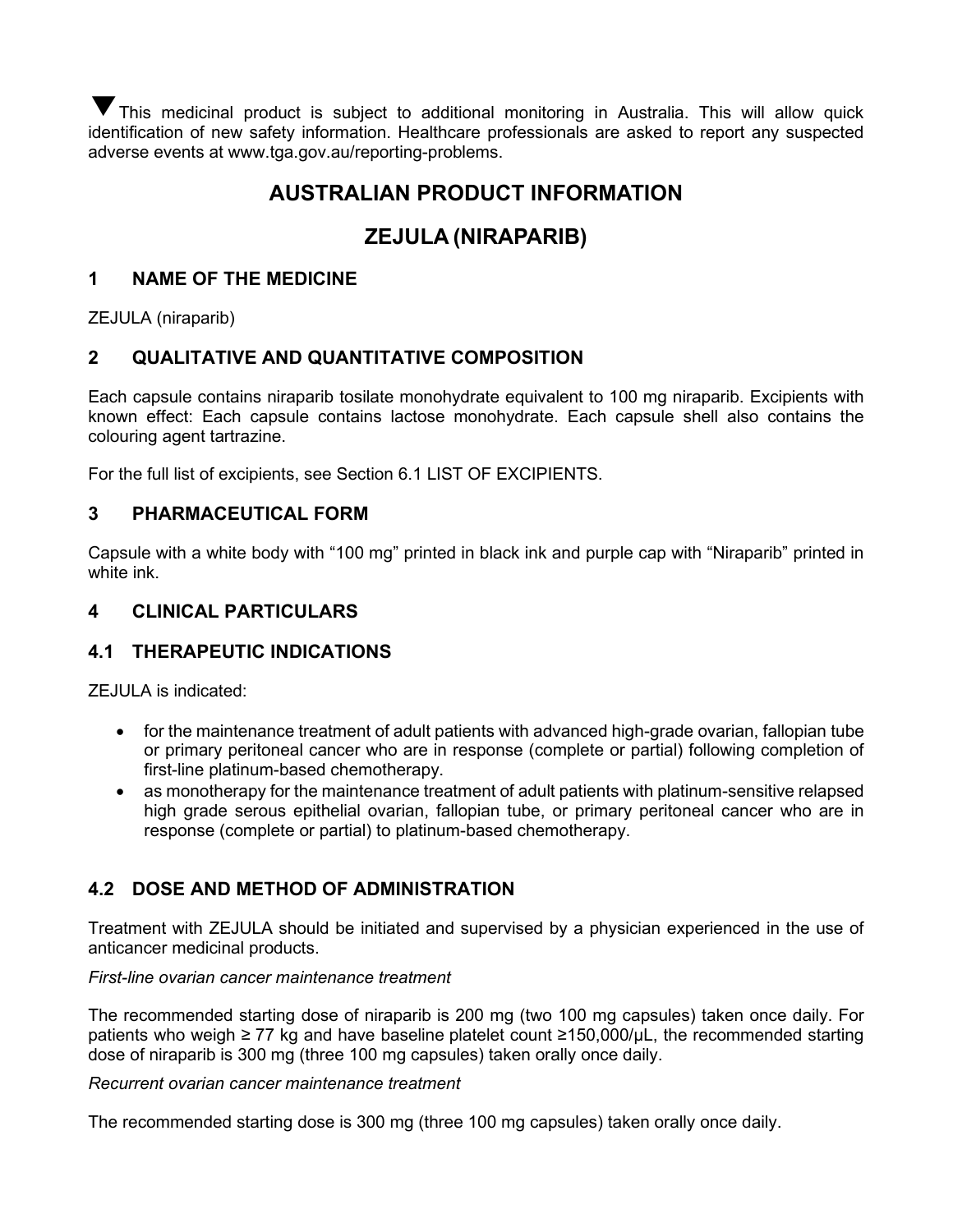This medicinal product is subject to additional monitoring in Australia. This will allow quick ▼identification of new safety information. Healthcare professionals are asked to report any suspected adverse events at www.tga.gov.au/reporting-problems.

# **AUSTRALIAN PRODUCT INFORMATION**

# **ZEJULA (NIRAPARIB)**

## **1 NAME OF THE MEDICINE**

ZEJULA (niraparib)

## **2 QUALITATIVE AND QUANTITATIVE COMPOSITION**

Each capsule contains niraparib tosilate monohydrate equivalent to 100 mg niraparib. Excipients with known effect: Each capsule contains lactose monohydrate. Each capsule shell also contains the colouring agent tartrazine.

For the full list of excipients, see Section 6.1 LIST OF EXCIPIENTS.

## **3 PHARMACEUTICAL FORM**

Capsule with a white body with "100 mg" printed in black ink and purple cap with "Niraparib" printed in white ink.

## **4 CLINICAL PARTICULARS**

## **4.1 THERAPEUTIC INDICATIONS**

ZEJULA is indicated:

- for the maintenance treatment of adult patients with advanced high-grade ovarian, fallopian tube or primary peritoneal cancer who are in response (complete or partial) following completion of first-line platinum-based chemotherapy.
- as monotherapy for the maintenance treatment of adult patients with platinum-sensitive relapsed high grade serous epithelial ovarian, fallopian tube, or primary peritoneal cancer who are in response (complete or partial) to platinum-based chemotherapy.

## **4.2 DOSE AND METHOD OF ADMINISTRATION**

Treatment with ZEJULA should be initiated and supervised by a physician experienced in the use of anticancer medicinal products.

## *First-line ovarian cancer maintenance treatment*

The recommended starting dose of niraparib is 200 mg (two 100 mg capsules) taken once daily. For patients who weigh ≥ 77 kg and have baseline platelet count ≥150,000/uL, the recommended starting dose of niraparib is 300 mg (three 100 mg capsules) taken orally once daily.

## *Recurrent ovarian cancer maintenance treatment*

The recommended starting dose is 300 mg (three 100 mg capsules) taken orally once daily.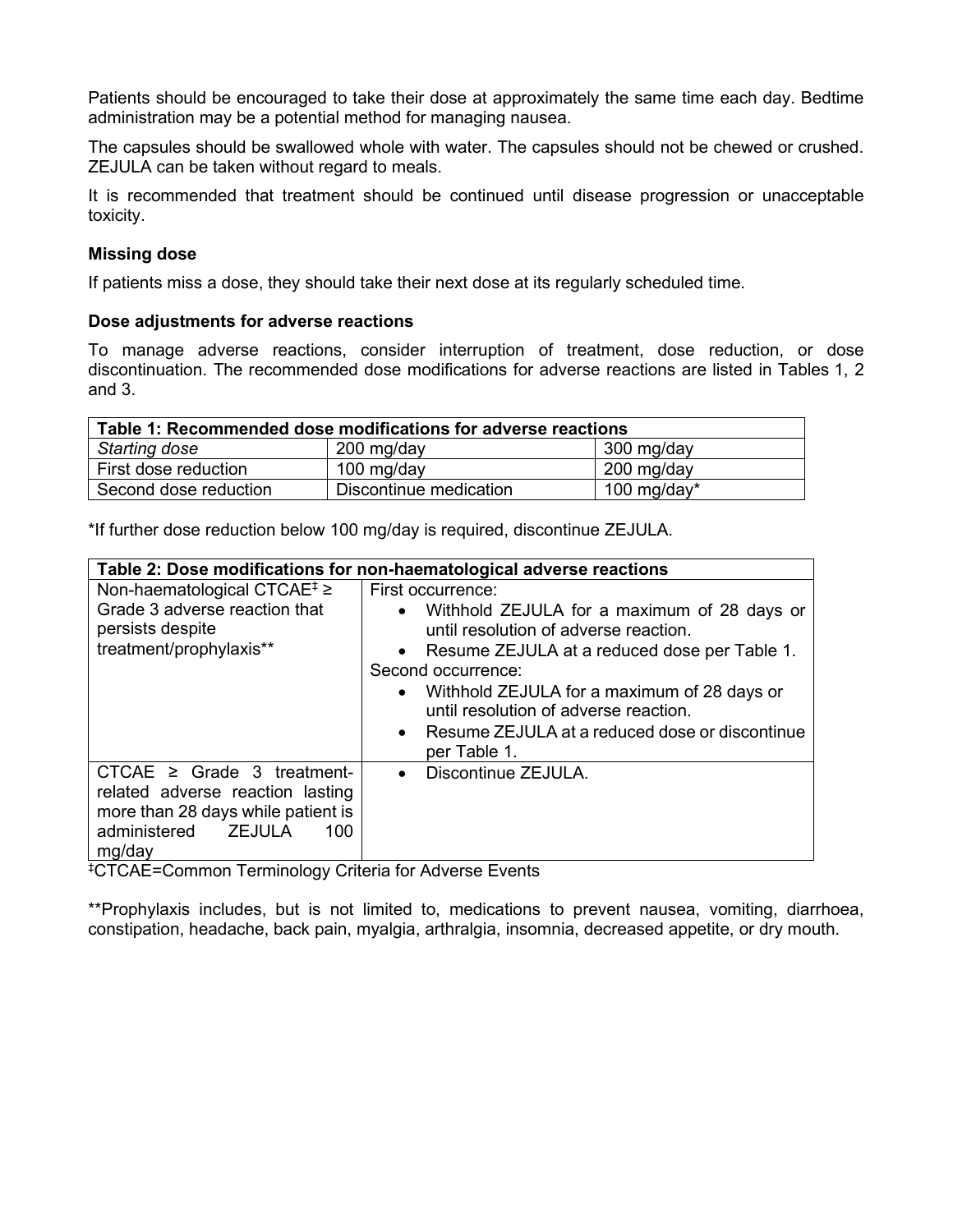Patients should be encouraged to take their dose at approximately the same time each day. Bedtime administration may be a potential method for managing nausea.

The capsules should be swallowed whole with water. The capsules should not be chewed or crushed. ZEJULA can be taken without regard to meals.

It is recommended that treatment should be continued until disease progression or unacceptable toxicity.

## **Missing dose**

If patients miss a dose, they should take their next dose at its regularly scheduled time.

#### **Dose adjustments for adverse reactions**

To manage adverse reactions, consider interruption of treatment, dose reduction, or dose discontinuation. The recommended dose modifications for adverse reactions are listed in Tables 1, 2 and 3.

| Table 1: Recommended dose modifications for adverse reactions |                        |                |  |
|---------------------------------------------------------------|------------------------|----------------|--|
| Starting dose                                                 | 200 mg/day             | 300 mg/day     |  |
| First dose reduction                                          | 100 mg/day             | 200 mg/day     |  |
| Second dose reduction                                         | Discontinue medication | 100 mg/day $*$ |  |

\*If further dose reduction below 100 mg/day is required, discontinue ZEJULA.

|                                                                                                                                                           | Table 2: Dose modifications for non-haematological adverse reactions                                                                                                                                                                                                                                                                                                               |
|-----------------------------------------------------------------------------------------------------------------------------------------------------------|------------------------------------------------------------------------------------------------------------------------------------------------------------------------------------------------------------------------------------------------------------------------------------------------------------------------------------------------------------------------------------|
| Non-haematological CTCAE <sup>‡</sup> ≥<br>Grade 3 adverse reaction that<br>persists despite<br>treatment/prophylaxis**                                   | First occurrence:<br>Withhold ZEJULA for a maximum of 28 days or<br>$\bullet$<br>until resolution of adverse reaction.<br>• Resume ZEJULA at a reduced dose per Table 1.<br>Second occurrence:<br>Withhold ZEJULA for a maximum of 28 days or<br>$\bullet$<br>until resolution of adverse reaction.<br>Resume ZEJULA at a reduced dose or discontinue<br>$\bullet$<br>per Table 1. |
| CTCAE $\geq$ Grade 3 treatment-<br>related adverse reaction lasting<br>more than 28 days while patient is<br>administered <b>ZEJULA</b><br>100.<br>mg/day | Discontinue ZEJULA.<br>$\bullet$                                                                                                                                                                                                                                                                                                                                                   |

‡ CTCAE=Common Terminology Criteria for Adverse Events

\*\*Prophylaxis includes, but is not limited to, medications to prevent nausea, vomiting, diarrhoea, constipation, headache, back pain, myalgia, arthralgia, insomnia, decreased appetite, or dry mouth.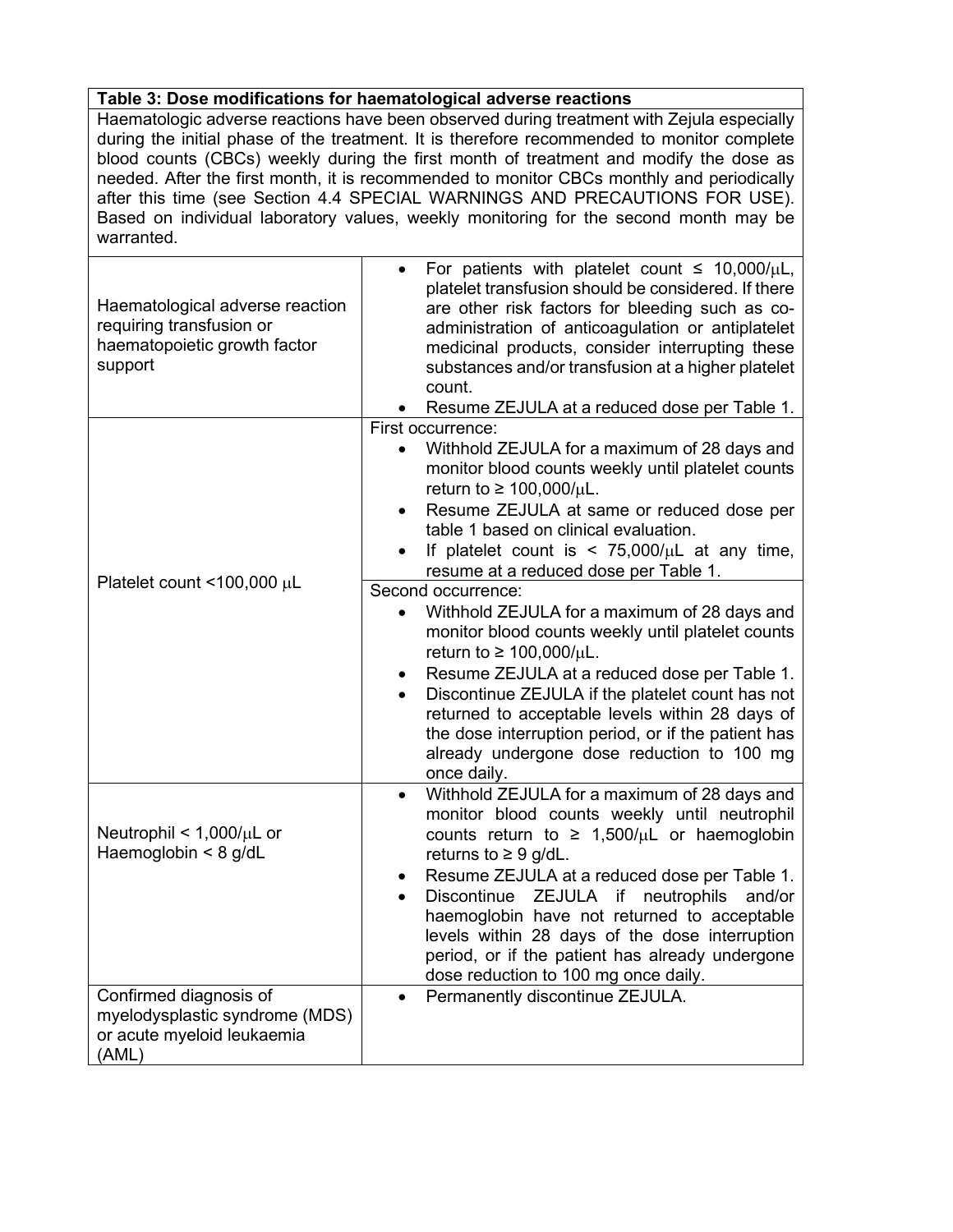## **Table 3: Dose modifications for haematological adverse reactions**

Haematologic adverse reactions have been observed during treatment with Zejula especially during the initial phase of the treatment. It is therefore recommended to monitor complete blood counts (CBCs) weekly during the first month of treatment and modify the dose as needed. After the first month, it is recommended to monitor CBCs monthly and periodically after this time (see Section 4.4 SPECIAL WARNINGS AND PRECAUTIONS FOR USE). Based on individual laboratory values, weekly monitoring for the second month may be warranted.

| Haematological adverse reaction<br>requiring transfusion or<br>haematopoietic growth factor<br>support | For patients with platelet count $\leq 10,000/\mu L$ ,<br>platelet transfusion should be considered. If there<br>are other risk factors for bleeding such as co-<br>administration of anticoagulation or antiplatelet<br>medicinal products, consider interrupting these<br>substances and/or transfusion at a higher platelet<br>count.<br>Resume ZEJULA at a reduced dose per Table 1.                                                                                   |
|--------------------------------------------------------------------------------------------------------|----------------------------------------------------------------------------------------------------------------------------------------------------------------------------------------------------------------------------------------------------------------------------------------------------------------------------------------------------------------------------------------------------------------------------------------------------------------------------|
|                                                                                                        | First occurrence:<br>Withhold ZEJULA for a maximum of 28 days and<br>$\bullet$<br>monitor blood counts weekly until platelet counts<br>return to $\geq 100,000/\mu L$ .<br>Resume ZEJULA at same or reduced dose per<br>table 1 based on clinical evaluation.<br>If platelet count is $\lt$ 75,000/ $\mu$ L at any time,<br>resume at a reduced dose per Table 1.                                                                                                          |
| Platelet count <100,000 µL                                                                             | Second occurrence:<br>Withhold ZEJULA for a maximum of 28 days and<br>monitor blood counts weekly until platelet counts<br>return to $\geq 100,000/\mu L$ .<br>Resume ZEJULA at a reduced dose per Table 1.<br>Discontinue ZEJULA if the platelet count has not<br>returned to acceptable levels within 28 days of<br>the dose interruption period, or if the patient has<br>already undergone dose reduction to 100 mg<br>once daily.                                     |
| Neutrophil < $1,000/\mu L$ or<br>Haemoglobin $<$ 8 g/dL                                                | Withhold ZEJULA for a maximum of 28 days and<br>monitor blood counts weekly until neutrophil<br>counts return to $\geq 1,500/\mu L$ or haemoglobin<br>returns to $\geq 9$ g/dL.<br>Resume ZEJULA at a reduced dose per Table 1.<br>Discontinue ZEJULA if neutrophils<br>and/or<br>haemoglobin have not returned to acceptable<br>levels within 28 days of the dose interruption<br>period, or if the patient has already undergone<br>dose reduction to 100 mg once daily. |
| Confirmed diagnosis of<br>myelodysplastic syndrome (MDS)<br>or acute myeloid leukaemia<br>(AML)        | Permanently discontinue ZEJULA.<br>$\bullet$                                                                                                                                                                                                                                                                                                                                                                                                                               |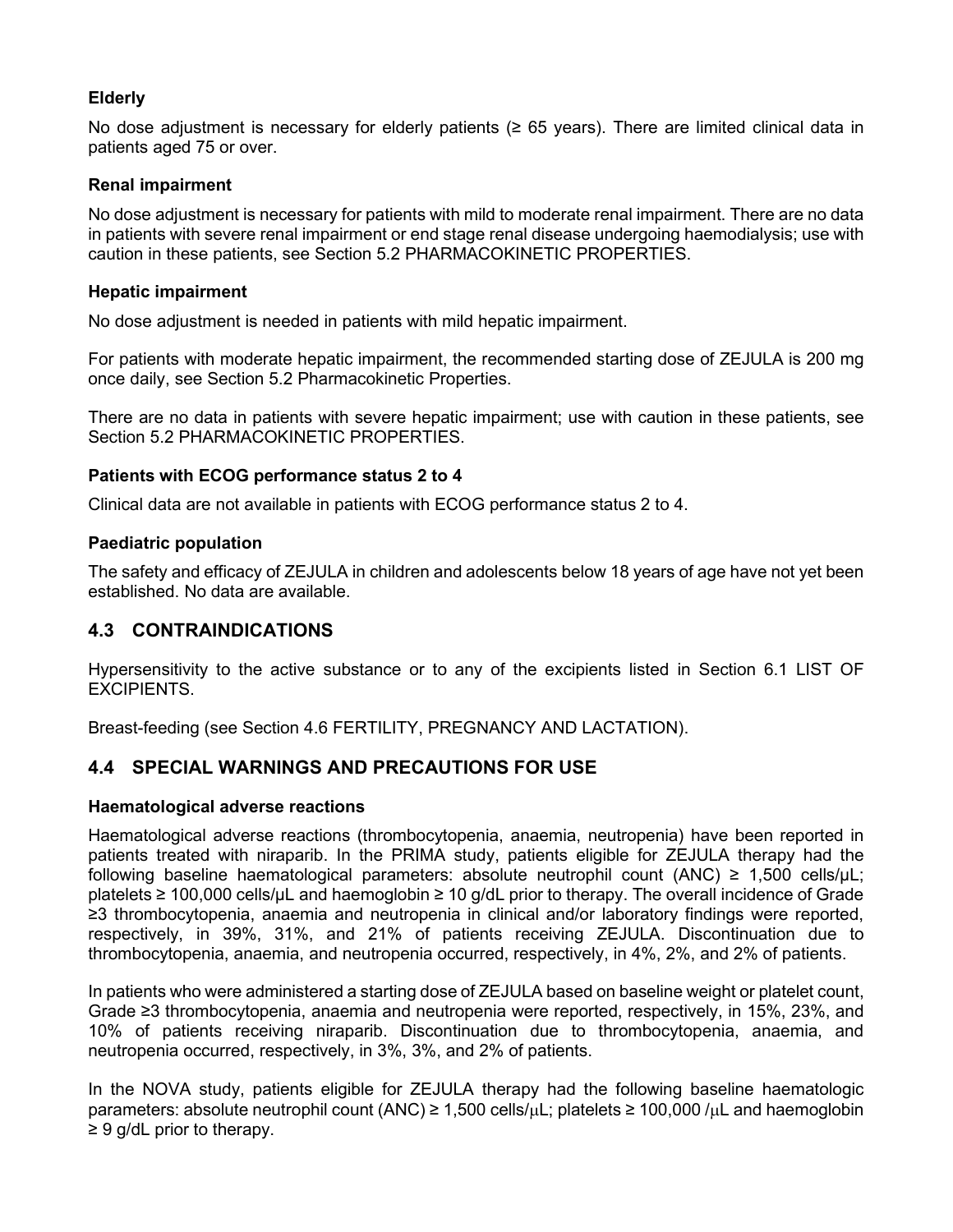## **Elderly**

No dose adjustment is necessary for elderly patients (≥ 65 years). There are limited clinical data in patients aged 75 or over.

## **Renal impairment**

No dose adjustment is necessary for patients with mild to moderate renal impairment. There are no data in patients with severe renal impairment or end stage renal disease undergoing haemodialysis; use with caution in these patients, see Section 5.2 PHARMACOKINETIC PROPERTIES.

## **Hepatic impairment**

No dose adjustment is needed in patients with mild hepatic impairment.

For patients with moderate hepatic impairment, the recommended starting dose of ZEJULA is 200 mg once daily, see Section 5.2 Pharmacokinetic Properties.

There are no data in patients with severe hepatic impairment; use with caution in these patients, see Section 5.2 PHARMACOKINETIC PROPERTIES.

## **Patients with ECOG performance status 2 to 4**

Clinical data are not available in patients with ECOG performance status 2 to 4.

## **Paediatric population**

The safety and efficacy of ZEJULA in children and adolescents below 18 years of age have not yet been established. No data are available.

## **4.3 CONTRAINDICATIONS**

Hypersensitivity to the active substance or to any of the excipients listed in Section 6.1 LIST OF EXCIPIENTS.

Breast-feeding (see Section 4.6 FERTILITY, PREGNANCY AND LACTATION).

## **4.4 SPECIAL WARNINGS AND PRECAUTIONS FOR USE**

## **Haematological adverse reactions**

Haematological adverse reactions (thrombocytopenia, anaemia, neutropenia) have been reported in patients treated with niraparib. In the PRIMA study, patients eligible for ZEJULA therapy had the following baseline haematological parameters: absolute neutrophil count (ANC)  $\geq 1.500$  cells/uL: platelets ≥ 100,000 cells/µL and haemoglobin ≥ 10 g/dL prior to therapy. The overall incidence of Grade ≥3 thrombocytopenia, anaemia and neutropenia in clinical and/or laboratory findings were reported, respectively, in 39%, 31%, and 21% of patients receiving ZEJULA. Discontinuation due to thrombocytopenia, anaemia, and neutropenia occurred, respectively, in 4%, 2%, and 2% of patients.

In patients who were administered a starting dose of ZEJULA based on baseline weight or platelet count, Grade ≥3 thrombocytopenia, anaemia and neutropenia were reported, respectively, in 15%, 23%, and 10% of patients receiving niraparib. Discontinuation due to thrombocytopenia, anaemia, and neutropenia occurred, respectively, in 3%, 3%, and 2% of patients.

In the NOVA study, patients eligible for ZEJULA therapy had the following baseline haematologic parameters: absolute neutrophil count (ANC)  $\geq 1,500$  cells/ $\mu$ L; platelets  $\geq 100,000$  / $\mu$ L and haemoglobin  $\geq 9$  g/dL prior to therapy.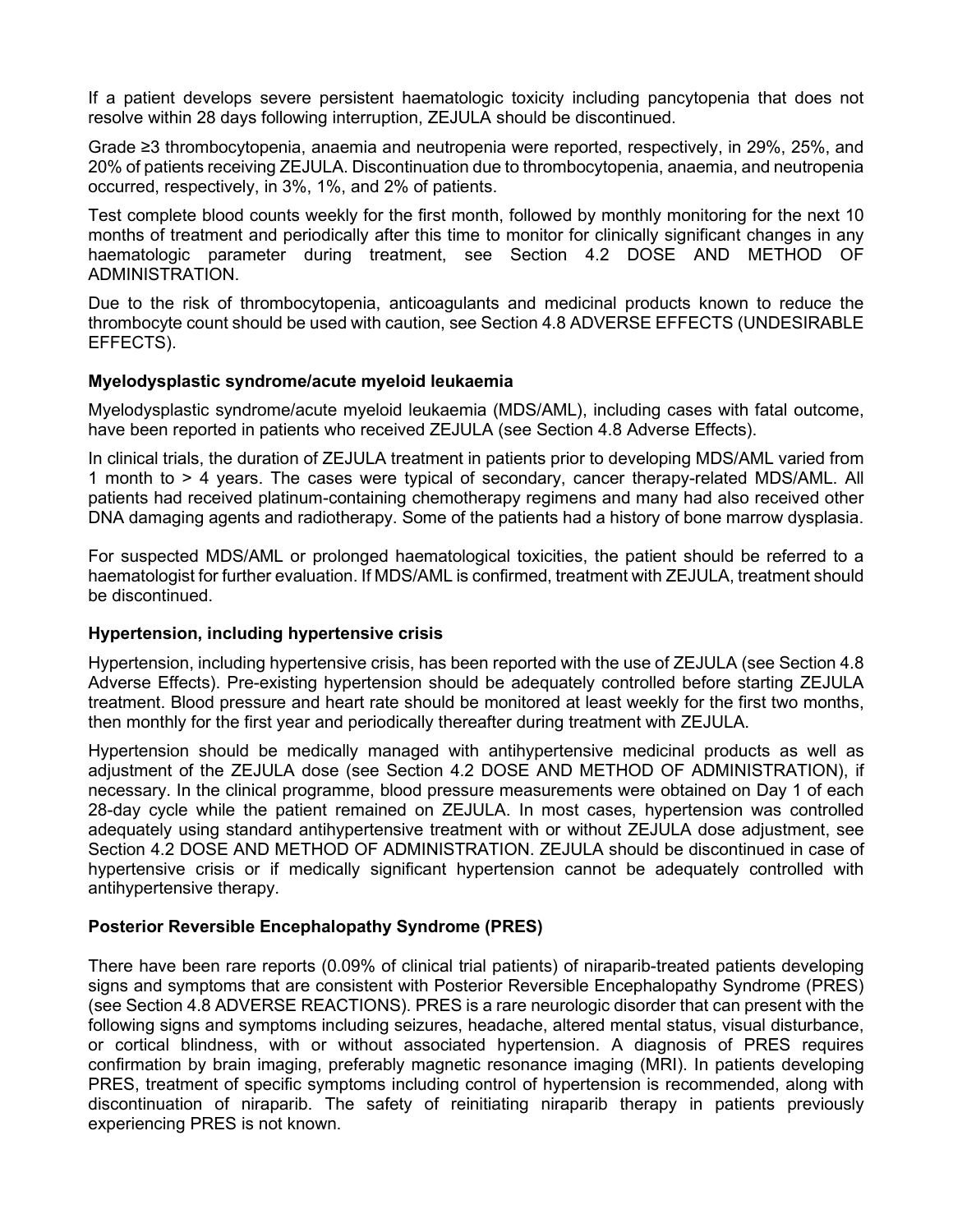If a patient develops severe persistent haematologic toxicity including pancytopenia that does not resolve within 28 days following interruption, ZEJULA should be discontinued.

Grade ≥3 thrombocytopenia, anaemia and neutropenia were reported, respectively, in 29%, 25%, and 20% of patients receiving ZEJULA. Discontinuation due to thrombocytopenia, anaemia, and neutropenia occurred, respectively, in 3%, 1%, and 2% of patients.

Test complete blood counts weekly for the first month, followed by monthly monitoring for the next 10 months of treatment and periodically after this time to monitor for clinically significant changes in any haematologic parameter during treatment, see Section 4.2 DOSE AND METHOD OF ADMINISTRATION.

Due to the risk of thrombocytopenia, anticoagulants and medicinal products known to reduce the thrombocyte count should be used with caution, see Section 4.8 ADVERSE EFFECTS (UNDESIRABLE EFFECTS).

#### **Myelodysplastic syndrome/acute myeloid leukaemia**

Myelodysplastic syndrome/acute myeloid leukaemia (MDS/AML), including cases with fatal outcome, have been reported in patients who received ZEJULA (see Section 4.8 Adverse Effects).

In clinical trials, the duration of ZEJULA treatment in patients prior to developing MDS/AML varied from 1 month to > 4 years. The cases were typical of secondary, cancer therapy-related MDS/AML. All patients had received platinum-containing chemotherapy regimens and many had also received other DNA damaging agents and radiotherapy. Some of the patients had a history of bone marrow dysplasia.

For suspected MDS/AML or prolonged haematological toxicities, the patient should be referred to a haematologist for further evaluation. If MDS/AML is confirmed, treatment with ZEJULA, treatment should be discontinued.

#### **Hypertension, including hypertensive crisis**

Hypertension, including hypertensive crisis, has been reported with the use of ZEJULA (see Section 4.8 Adverse Effects). Pre-existing hypertension should be adequately controlled before starting ZEJULA treatment. Blood pressure and heart rate should be monitored at least weekly for the first two months, then monthly for the first year and periodically thereafter during treatment with ZEJULA.

Hypertension should be medically managed with antihypertensive medicinal products as well as adjustment of the ZEJULA dose (see Section 4.2 DOSE AND METHOD OF ADMINISTRATION), if necessary. In the clinical programme, blood pressure measurements were obtained on Day 1 of each 28-day cycle while the patient remained on ZEJULA. In most cases, hypertension was controlled adequately using standard antihypertensive treatment with or without ZEJULA dose adjustment, see Section 4.2 DOSE AND METHOD OF ADMINISTRATION. ZEJULA should be discontinued in case of hypertensive crisis or if medically significant hypertension cannot be adequately controlled with antihypertensive therapy.

## **Posterior Reversible Encephalopathy Syndrome (PRES)**

There have been rare reports (0.09% of clinical trial patients) of niraparib-treated patients developing signs and symptoms that are consistent with Posterior Reversible Encephalopathy Syndrome (PRES) (see Section 4.8 ADVERSE REACTIONS). PRES is a rare neurologic disorder that can present with the following signs and symptoms including seizures, headache, altered mental status, visual disturbance, or cortical blindness, with or without associated hypertension. A diagnosis of PRES requires confirmation by brain imaging, preferably magnetic resonance imaging (MRI). In patients developing PRES, treatment of specific symptoms including control of hypertension is recommended, along with discontinuation of niraparib. The safety of reinitiating niraparib therapy in patients previously experiencing PRES is not known.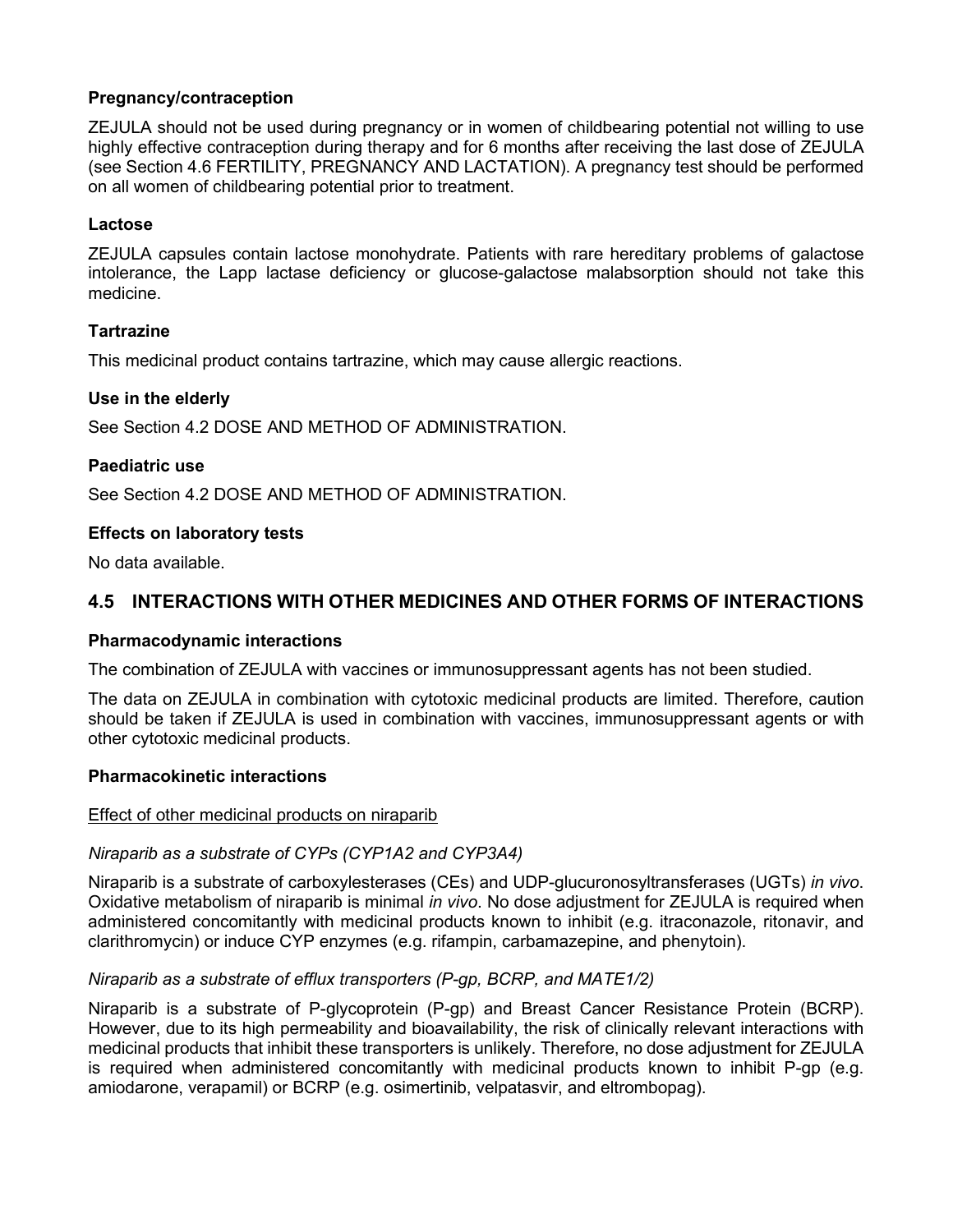## **Pregnancy/contraception**

ZEJULA should not be used during pregnancy or in women of childbearing potential not willing to use highly effective contraception during therapy and for 6 months after receiving the last dose of ZEJULA (see Section 4.6 FERTILITY, PREGNANCY AND LACTATION). A pregnancy test should be performed on all women of childbearing potential prior to treatment.

## **Lactose**

ZEJULA capsules contain lactose monohydrate. Patients with rare hereditary problems of galactose intolerance, the Lapp lactase deficiency or glucose-galactose malabsorption should not take this medicine.

## **Tartrazine**

This medicinal product contains tartrazine, which may cause allergic reactions.

## **Use in the elderly**

See Section 4.2 DOSE AND METHOD OF ADMINISTRATION.

## **Paediatric use**

See Section 4.2 DOSE AND METHOD OF ADMINISTRATION.

## **Effects on laboratory tests**

No data available.

## **4.5 INTERACTIONS WITH OTHER MEDICINES AND OTHER FORMS OF INTERACTIONS**

## **Pharmacodynamic interactions**

The combination of ZEJULA with vaccines or immunosuppressant agents has not been studied.

The data on ZEJULA in combination with cytotoxic medicinal products are limited. Therefore, caution should be taken if ZEJULA is used in combination with vaccines, immunosuppressant agents or with other cytotoxic medicinal products.

## **Pharmacokinetic interactions**

## Effect of other medicinal products on niraparib

## *Niraparib as a substrate of CYPs (CYP1A2 and CYP3A4)*

Niraparib is a substrate of carboxylesterases (CEs) and UDP-glucuronosyltransferases (UGTs) *in vivo*. Oxidative metabolism of niraparib is minimal *in vivo*. No dose adjustment for ZEJULA is required when administered concomitantly with medicinal products known to inhibit (e.g. itraconazole, ritonavir, and clarithromycin) or induce CYP enzymes (e.g. rifampin, carbamazepine, and phenytoin).

## *Niraparib as a substrate of efflux transporters (P-gp, BCRP, and MATE1/2)*

Niraparib is a substrate of P-glycoprotein (P-gp) and Breast Cancer Resistance Protein (BCRP). However, due to its high permeability and bioavailability, the risk of clinically relevant interactions with medicinal products that inhibit these transporters is unlikely. Therefore, no dose adjustment for ZEJULA is required when administered concomitantly with medicinal products known to inhibit P-gp (e.g. amiodarone, verapamil) or BCRP (e.g. osimertinib, velpatasvir, and eltrombopag).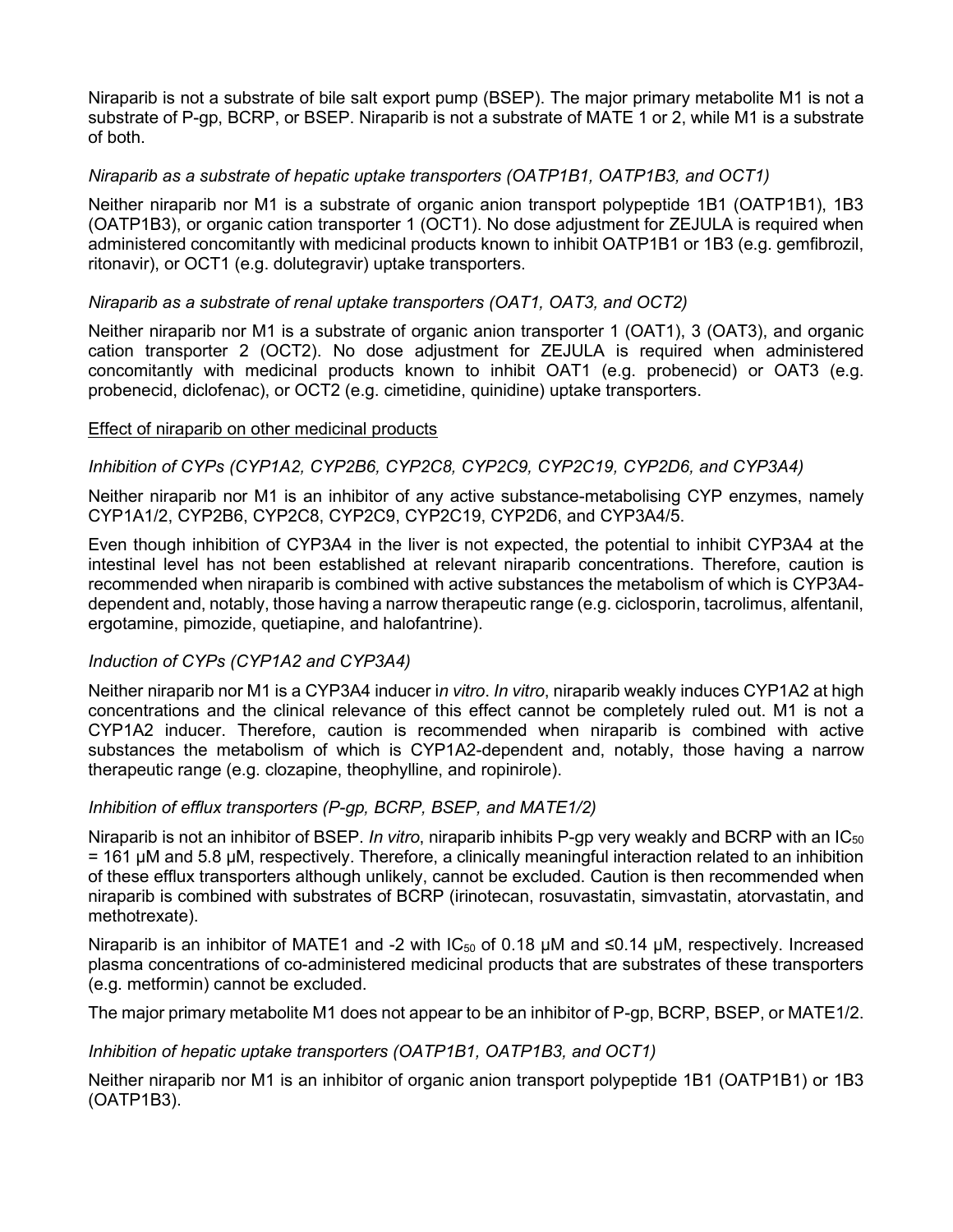Niraparib is not a substrate of bile salt export pump (BSEP). The major primary metabolite M1 is not a substrate of P-gp, BCRP, or BSEP. Niraparib is not a substrate of MATE 1 or 2, while M1 is a substrate of both.

## *Niraparib as a substrate of hepatic uptake transporters (OATP1B1, OATP1B3, and OCT1)*

Neither niraparib nor M1 is a substrate of organic anion transport polypeptide 1B1 (OATP1B1), 1B3 (OATP1B3), or organic cation transporter 1 (OCT1). No dose adjustment for ZEJULA is required when administered concomitantly with medicinal products known to inhibit OATP1B1 or 1B3 (e.g. gemfibrozil, ritonavir), or OCT1 (e.g. dolutegravir) uptake transporters.

#### *Niraparib as a substrate of renal uptake transporters (OAT1, OAT3, and OCT2)*

Neither niraparib nor M1 is a substrate of organic anion transporter 1 (OAT1), 3 (OAT3), and organic cation transporter 2 (OCT2). No dose adjustment for ZEJULA is required when administered concomitantly with medicinal products known to inhibit OAT1 (e.g. probenecid) or OAT3 (e.g. probenecid, diclofenac), or OCT2 (e.g. cimetidine, quinidine) uptake transporters.

#### Effect of niraparib on other medicinal products

#### *Inhibition of CYPs (CYP1A2, CYP2B6, CYP2C8, CYP2C9, CYP2C19, CYP2D6, and CYP3A4)*

Neither niraparib nor M1 is an inhibitor of any active substance-metabolising CYP enzymes, namely CYP1A1/2, CYP2B6, CYP2C8, CYP2C9, CYP2C19, CYP2D6, and CYP3A4/5.

Even though inhibition of CYP3A4 in the liver is not expected, the potential to inhibit CYP3A4 at the intestinal level has not been established at relevant niraparib concentrations. Therefore, caution is recommended when niraparib is combined with active substances the metabolism of which is CYP3A4 dependent and, notably, those having a narrow therapeutic range (e.g. ciclosporin, tacrolimus, alfentanil, ergotamine, pimozide, quetiapine, and halofantrine).

## *Induction of CYPs (CYP1A2 and CYP3A4)*

Neither niraparib nor M1 is a CYP3A4 inducer i*n vitro*. *In vitro*, niraparib weakly induces CYP1A2 at high concentrations and the clinical relevance of this effect cannot be completely ruled out. M1 is not a CYP1A2 inducer. Therefore, caution is recommended when niraparib is combined with active substances the metabolism of which is CYP1A2-dependent and, notably, those having a narrow therapeutic range (e.g. clozapine, theophylline, and ropinirole).

## *Inhibition of efflux transporters (P-gp, BCRP, BSEP, and MATE1/2)*

Niraparib is not an inhibitor of BSEP. *In vitro*, niraparib inhibits P-gp very weakly and BCRP with an IC50 = 161 μM and 5.8 μM, respectively. Therefore, a clinically meaningful interaction related to an inhibition of these efflux transporters although unlikely, cannot be excluded. Caution is then recommended when niraparib is combined with substrates of BCRP (irinotecan, rosuvastatin, simvastatin, atorvastatin, and methotrexate).

Niraparib is an inhibitor of MATE1 and -2 with  $IC_{50}$  of 0.18 µM and  $\leq 0.14$  µM, respectively. Increased plasma concentrations of co-administered medicinal products that are substrates of these transporters (e.g. metformin) cannot be excluded.

The major primary metabolite M1 does not appear to be an inhibitor of P-gp, BCRP, BSEP, or MATE1/2.

#### *Inhibition of hepatic uptake transporters (OATP1B1, OATP1B3, and OCT1)*

Neither niraparib nor M1 is an inhibitor of organic anion transport polypeptide 1B1 (OATP1B1) or 1B3 (OATP1B3).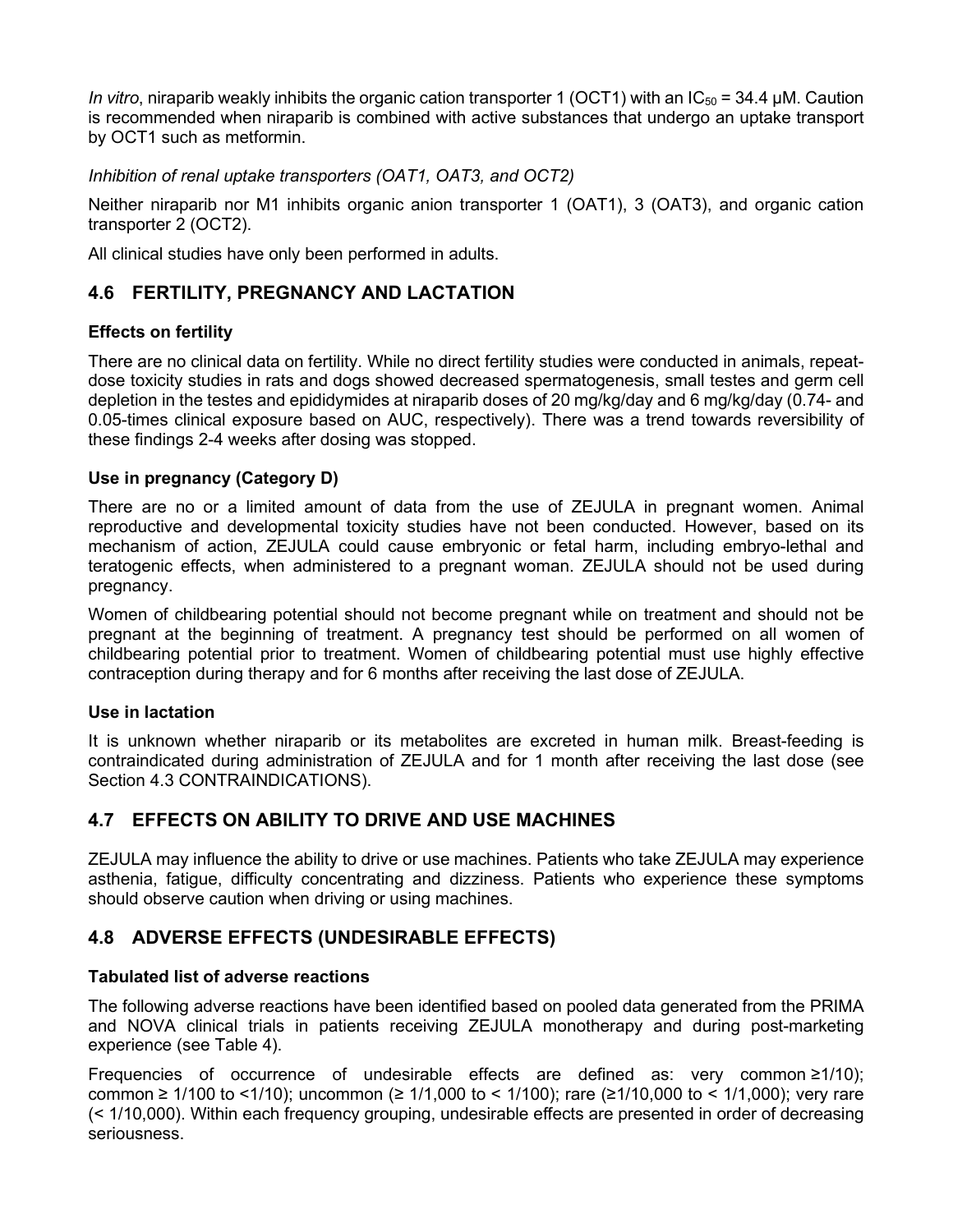*In vitro*, niraparib weakly inhibits the organic cation transporter 1 (OCT1) with an IC<sub>50</sub> = 34.4 μM. Caution is recommended when niraparib is combined with active substances that undergo an uptake transport by OCT1 such as metformin.

*Inhibition of renal uptake transporters (OAT1, OAT3, and OCT2)*

Neither niraparib nor M1 inhibits organic anion transporter 1 (OAT1), 3 (OAT3), and organic cation transporter 2 (OCT2).

All clinical studies have only been performed in adults.

## **4.6 FERTILITY, PREGNANCY AND LACTATION**

## **Effects on fertility**

There are no clinical data on fertility. While no direct fertility studies were conducted in animals, repeatdose toxicity studies in rats and dogs showed decreased spermatogenesis, small testes and germ cell depletion in the testes and epididymides at niraparib doses of 20 mg/kg/day and 6 mg/kg/day (0.74- and 0.05-times clinical exposure based on AUC, respectively). There was a trend towards reversibility of these findings 2-4 weeks after dosing was stopped.

## **Use in pregnancy (Category D)**

There are no or a limited amount of data from the use of ZEJULA in pregnant women. Animal reproductive and developmental toxicity studies have not been conducted. However, based on its mechanism of action, ZEJULA could cause embryonic or fetal harm, including embryo-lethal and teratogenic effects, when administered to a pregnant woman. ZEJULA should not be used during pregnancy.

Women of childbearing potential should not become pregnant while on treatment and should not be pregnant at the beginning of treatment. A pregnancy test should be performed on all women of childbearing potential prior to treatment. Women of childbearing potential must use highly effective contraception during therapy and for 6 months after receiving the last dose of ZEJULA.

## **Use in lactation**

It is unknown whether niraparib or its metabolites are excreted in human milk. Breast-feeding is contraindicated during administration of ZEJULA and for 1 month after receiving the last dose (see Section 4.3 CONTRAINDICATIONS).

## **4.7 EFFECTS ON ABILITY TO DRIVE AND USE MACHINES**

ZEJULA may influence the ability to drive or use machines. Patients who take ZEJULA may experience asthenia, fatigue, difficulty concentrating and dizziness. Patients who experience these symptoms should observe caution when driving or using machines.

## **4.8 ADVERSE EFFECTS (UNDESIRABLE EFFECTS)**

## **Tabulated list of adverse reactions**

The following adverse reactions have been identified based on pooled data generated from the PRIMA and NOVA clinical trials in patients receiving ZEJULA monotherapy and during post-marketing experience (see Table 4).

Frequencies of occurrence of undesirable effects are defined as: very common ≥1/10); common ≥ 1/100 to <1/10); uncommon (≥ 1/1,000 to < 1/100); rare (≥1/10,000 to < 1/1,000); very rare (< 1/10,000). Within each frequency grouping, undesirable effects are presented in order of decreasing seriousness.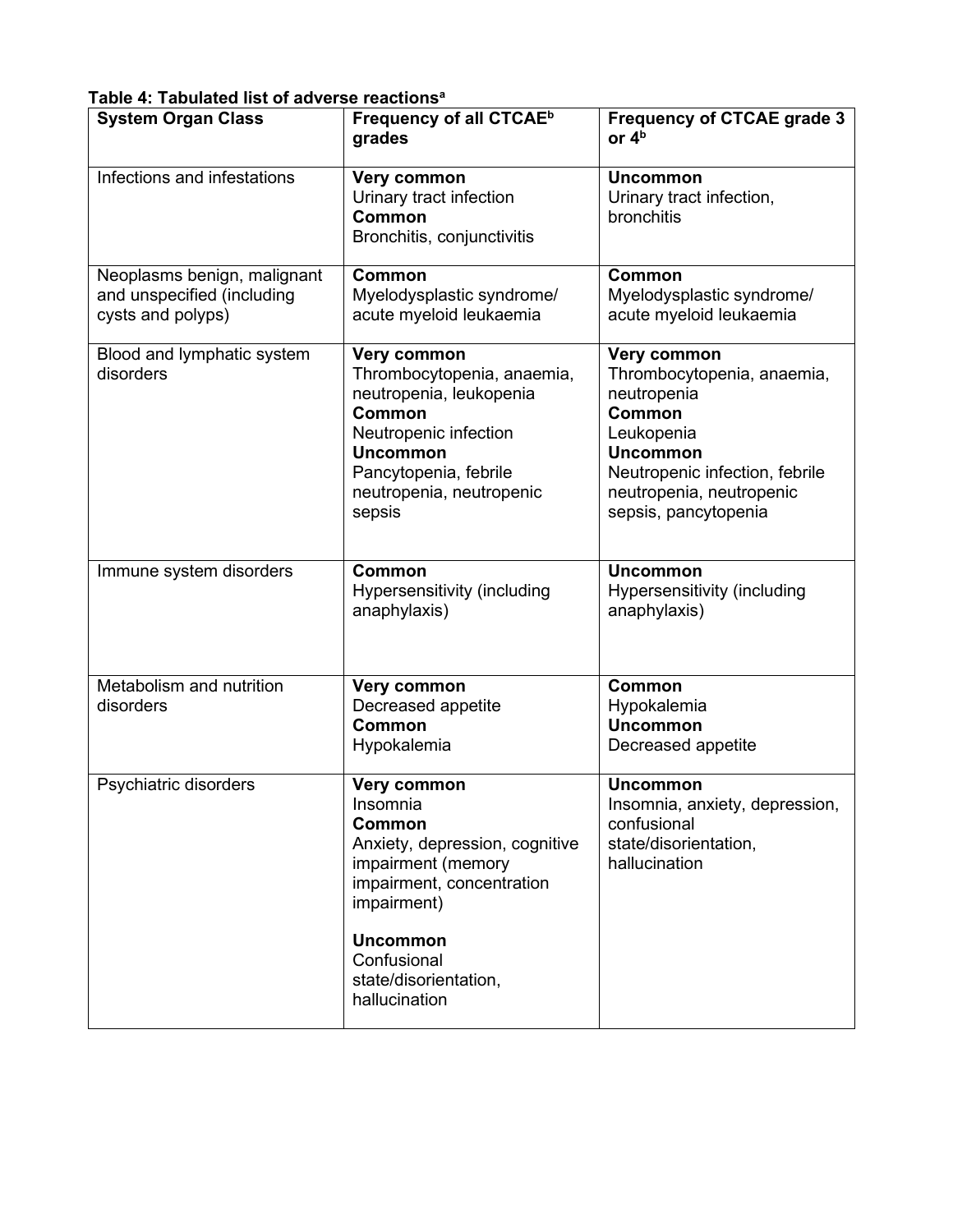| <b>System Organ Class</b>                                                      | Frequency of all CTCAE <sup>b</sup><br>grades                                                                                                                                             | <b>Frequency of CTCAE grade 3</b><br>or $4b$                                                                                                                                                     |
|--------------------------------------------------------------------------------|-------------------------------------------------------------------------------------------------------------------------------------------------------------------------------------------|--------------------------------------------------------------------------------------------------------------------------------------------------------------------------------------------------|
| Infections and infestations                                                    | Very common<br>Urinary tract infection<br><b>Common</b><br>Bronchitis, conjunctivitis                                                                                                     | <b>Uncommon</b><br>Urinary tract infection,<br>bronchitis                                                                                                                                        |
| Neoplasms benign, malignant<br>and unspecified (including<br>cysts and polyps) | <b>Common</b><br>Myelodysplastic syndrome/<br>acute myeloid leukaemia                                                                                                                     | Common<br>Myelodysplastic syndrome/<br>acute myeloid leukaemia                                                                                                                                   |
| Blood and lymphatic system<br>disorders                                        | Very common<br>Thrombocytopenia, anaemia,<br>neutropenia, leukopenia<br>Common<br>Neutropenic infection<br><b>Uncommon</b><br>Pancytopenia, febrile<br>neutropenia, neutropenic<br>sepsis | Very common<br>Thrombocytopenia, anaemia,<br>neutropenia<br><b>Common</b><br>Leukopenia<br><b>Uncommon</b><br>Neutropenic infection, febrile<br>neutropenia, neutropenic<br>sepsis, pancytopenia |
| Immune system disorders                                                        | Common<br>Hypersensitivity (including<br>anaphylaxis)                                                                                                                                     | <b>Uncommon</b><br>Hypersensitivity (including<br>anaphylaxis)                                                                                                                                   |
| Metabolism and nutrition<br>disorders                                          | Very common<br>Decreased appetite<br>Common<br>Hypokalemia                                                                                                                                | <b>Common</b><br>Hypokalemia<br><b>Uncommon</b><br>Decreased appetite                                                                                                                            |
| Psychiatric disorders                                                          | Very common<br>Insomnia<br>Common<br>Anxiety, depression, cognitive<br>impairment (memory<br>impairment, concentration<br>impairment)                                                     | <b>Uncommon</b><br>Insomnia, anxiety, depression,<br>confusional<br>state/disorientation,<br>hallucination                                                                                       |
|                                                                                | <b>Uncommon</b><br>Confusional<br>state/disorientation,<br>hallucination                                                                                                                  |                                                                                                                                                                                                  |

## **Table 4: Tabulated list of adverse reactionsa**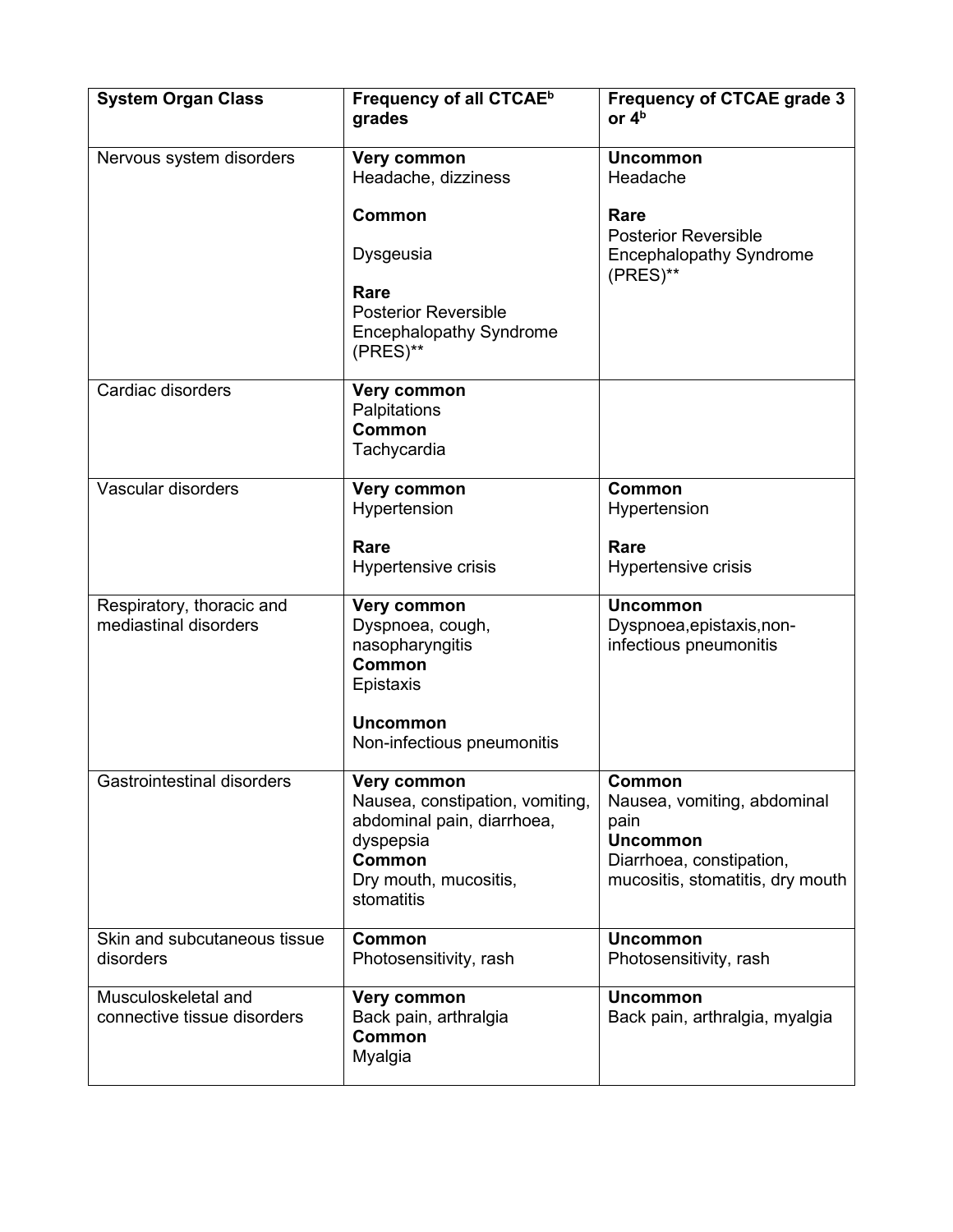| <b>System Organ Class</b>                          | Frequency of all CTCAE <sup>b</sup><br>grades                                                                                                     | <b>Frequency of CTCAE grade 3</b><br>or $4b$                                                                                     |
|----------------------------------------------------|---------------------------------------------------------------------------------------------------------------------------------------------------|----------------------------------------------------------------------------------------------------------------------------------|
| Nervous system disorders                           | Very common<br>Headache, dizziness<br><b>Common</b><br>Dysgeusia<br>Rare<br><b>Posterior Reversible</b><br><b>Encephalopathy Syndrome</b>         | <b>Uncommon</b><br>Headache<br>Rare<br><b>Posterior Reversible</b><br><b>Encephalopathy Syndrome</b><br>(PRES)**                 |
| Cardiac disorders                                  | (PRES)**<br>Very common<br>Palpitations<br><b>Common</b><br>Tachycardia                                                                           |                                                                                                                                  |
| Vascular disorders                                 | Very common<br>Hypertension<br>Rare<br>Hypertensive crisis                                                                                        | Common<br>Hypertension<br>Rare<br>Hypertensive crisis                                                                            |
| Respiratory, thoracic and<br>mediastinal disorders | Very common<br>Dyspnoea, cough,<br>nasopharyngitis<br><b>Common</b><br>Epistaxis<br><b>Uncommon</b><br>Non-infectious pneumonitis                 | <b>Uncommon</b><br>Dyspnoea, epistaxis, non-<br>infectious pneumonitis                                                           |
| Gastrointestinal disorders                         | Very common<br>Nausea, constipation, vomiting,<br>abdominal pain, diarrhoea,<br>dyspepsia<br><b>Common</b><br>Dry mouth, mucositis,<br>stomatitis | Common<br>Nausea, vomiting, abdominal<br>pain<br><b>Uncommon</b><br>Diarrhoea, constipation,<br>mucositis, stomatitis, dry mouth |
| Skin and subcutaneous tissue<br>disorders          | Common<br>Photosensitivity, rash                                                                                                                  | <b>Uncommon</b><br>Photosensitivity, rash                                                                                        |
| Musculoskeletal and<br>connective tissue disorders | Very common<br>Back pain, arthralgia<br><b>Common</b><br>Myalgia                                                                                  | <b>Uncommon</b><br>Back pain, arthralgia, myalgia                                                                                |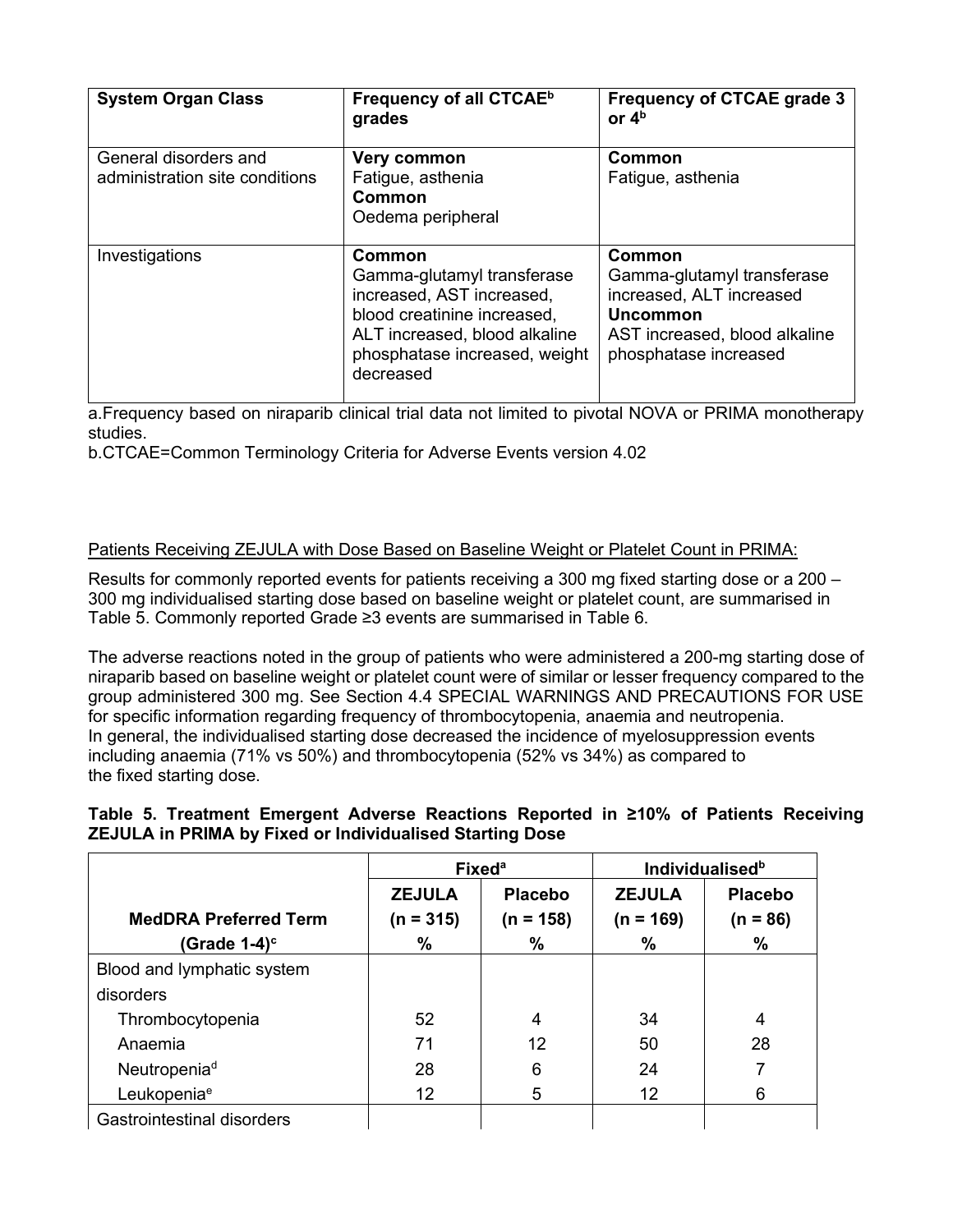| <b>System Organ Class</b>                               | Frequency of all CTCAE <sup>b</sup><br>grades                                                                                                                                   | <b>Frequency of CTCAE grade 3</b><br>or $4b$                                                                                                  |
|---------------------------------------------------------|---------------------------------------------------------------------------------------------------------------------------------------------------------------------------------|-----------------------------------------------------------------------------------------------------------------------------------------------|
| General disorders and<br>administration site conditions | Very common<br>Fatigue, asthenia<br>Common<br>Oedema peripheral                                                                                                                 | Common<br>Fatigue, asthenia                                                                                                                   |
| Investigations                                          | Common<br>Gamma-glutamyl transferase<br>increased, AST increased,<br>blood creatinine increased,<br>ALT increased, blood alkaline<br>phosphatase increased, weight<br>decreased | Common<br>Gamma-glutamyl transferase<br>increased, ALT increased<br><b>Uncommon</b><br>AST increased, blood alkaline<br>phosphatase increased |

a.Frequency based on niraparib clinical trial data not limited to pivotal NOVA or PRIMA monotherapy studies.

b.CTCAE=Common Terminology Criteria for Adverse Events version 4.02

## Patients Receiving ZEJULA with Dose Based on Baseline Weight or Platelet Count in PRIMA:

Results for commonly reported events for patients receiving a 300 mg fixed starting dose or a 200 – 300 mg individualised starting dose based on baseline weight or platelet count, are summarised in Table 5. Commonly reported Grade ≥3 events are summarised in Table 6.

The adverse reactions noted in the group of patients who were administered a 200-mg starting dose of niraparib based on baseline weight or platelet count were of similar or lesser frequency compared to the group administered 300 mg. See Section 4.4 SPECIAL WARNINGS AND PRECAUTIONS FOR USE for specific information regarding frequency of thrombocytopenia, anaemia and neutropenia. In general, the individualised starting dose decreased the incidence of myelosuppression events including anaemia (71% vs 50%) and thrombocytopenia (52% vs 34%) as compared to the fixed starting dose.

## **Table 5. Treatment Emergent Adverse Reactions Reported in ≥10% of Patients Receiving ZEJULA in PRIMA by Fixed or Individualised Starting Dose**

|                                   | <b>Fixed<sup>a</sup></b> |                |               | Individualised <sup>b</sup> |
|-----------------------------------|--------------------------|----------------|---------------|-----------------------------|
|                                   | <b>ZEJULA</b>            | <b>Placebo</b> | <b>ZEJULA</b> | <b>Placebo</b>              |
| <b>MedDRA Preferred Term</b>      | $(n = 315)$              | $(n = 158)$    | $(n = 169)$   | $(n = 86)$                  |
| (Grade 1-4) <sup>c</sup>          | %                        | %              | %             | $\%$                        |
| Blood and lymphatic system        |                          |                |               |                             |
| disorders                         |                          |                |               |                             |
| Thrombocytopenia                  | 52                       | 4              | 34            | 4                           |
| Anaemia                           | 71                       | 12             | 50            | 28                          |
| Neutropenia <sup>d</sup>          | 28                       | 6              | 24            |                             |
| Leukopenia <sup>e</sup>           | 12                       | 5              | 12            | 6                           |
| <b>Gastrointestinal disorders</b> |                          |                |               |                             |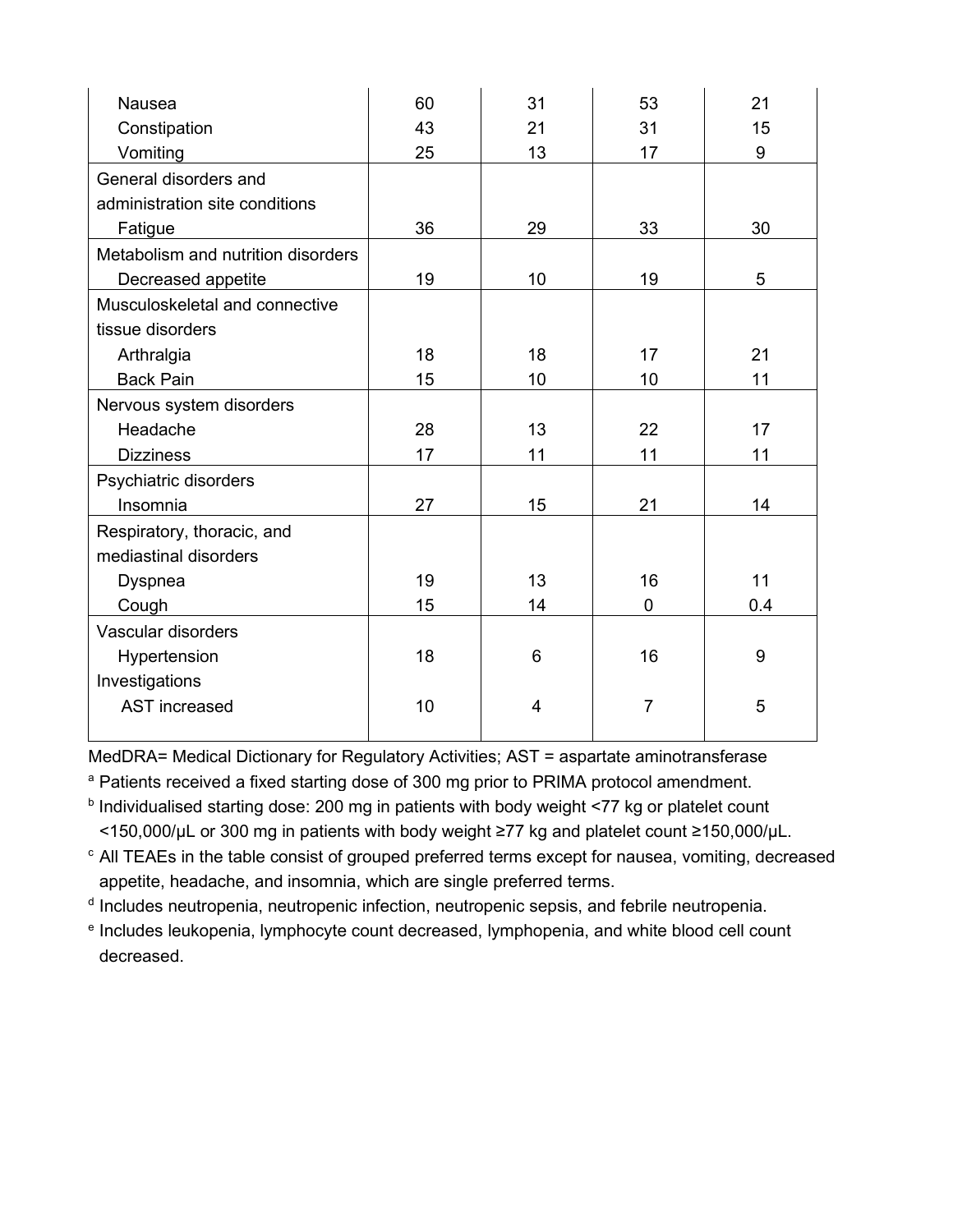| Nausea                             | 60 | 31             | 53             | 21  |
|------------------------------------|----|----------------|----------------|-----|
| Constipation                       | 43 | 21             | 31             | 15  |
| Vomiting                           | 25 | 13             | 17             | 9   |
| General disorders and              |    |                |                |     |
| administration site conditions     |    |                |                |     |
| Fatigue                            | 36 | 29             | 33             | 30  |
| Metabolism and nutrition disorders |    |                |                |     |
| Decreased appetite                 | 19 | 10             | 19             | 5   |
| Musculoskeletal and connective     |    |                |                |     |
| tissue disorders                   |    |                |                |     |
| Arthralgia                         | 18 | 18             | 17             | 21  |
| <b>Back Pain</b>                   | 15 | 10             | 10             | 11  |
| Nervous system disorders           |    |                |                |     |
| Headache                           | 28 | 13             | 22             | 17  |
| <b>Dizziness</b>                   | 17 | 11             | 11             | 11  |
| Psychiatric disorders              |    |                |                |     |
| Insomnia                           | 27 | 15             | 21             | 14  |
| Respiratory, thoracic, and         |    |                |                |     |
| mediastinal disorders              |    |                |                |     |
| Dyspnea                            | 19 | 13             | 16             | 11  |
| Cough                              | 15 | 14             | $\overline{0}$ | 0.4 |
| Vascular disorders                 |    |                |                |     |
| Hypertension                       | 18 | 6              | 16             | 9   |
| Investigations                     |    |                |                |     |
| <b>AST</b> increased               | 10 | $\overline{4}$ | $\overline{7}$ | 5   |
|                                    |    |                |                |     |

MedDRA= Medical Dictionary for Regulatory Activities; AST = aspartate aminotransferase

<sup>a</sup> Patients received a fixed starting dose of 300 mg prior to PRIMA protocol amendment.

- **b** Individualised starting dose: 200 mg in patients with body weight <77 kg or platelet count <150,000/µL or 300 mg in patients with body weight ≥77 kg and platelet count ≥150,000/µL.
- c All TEAEs in the table consist of grouped preferred terms except for nausea, vomiting, decreased appetite, headache, and insomnia, which are single preferred terms.

<sup>d</sup> Includes neutropenia, neutropenic infection, neutropenic sepsis, and febrile neutropenia.

<sup>e</sup> Includes leukopenia, lymphocyte count decreased, lymphopenia, and white blood cell count decreased.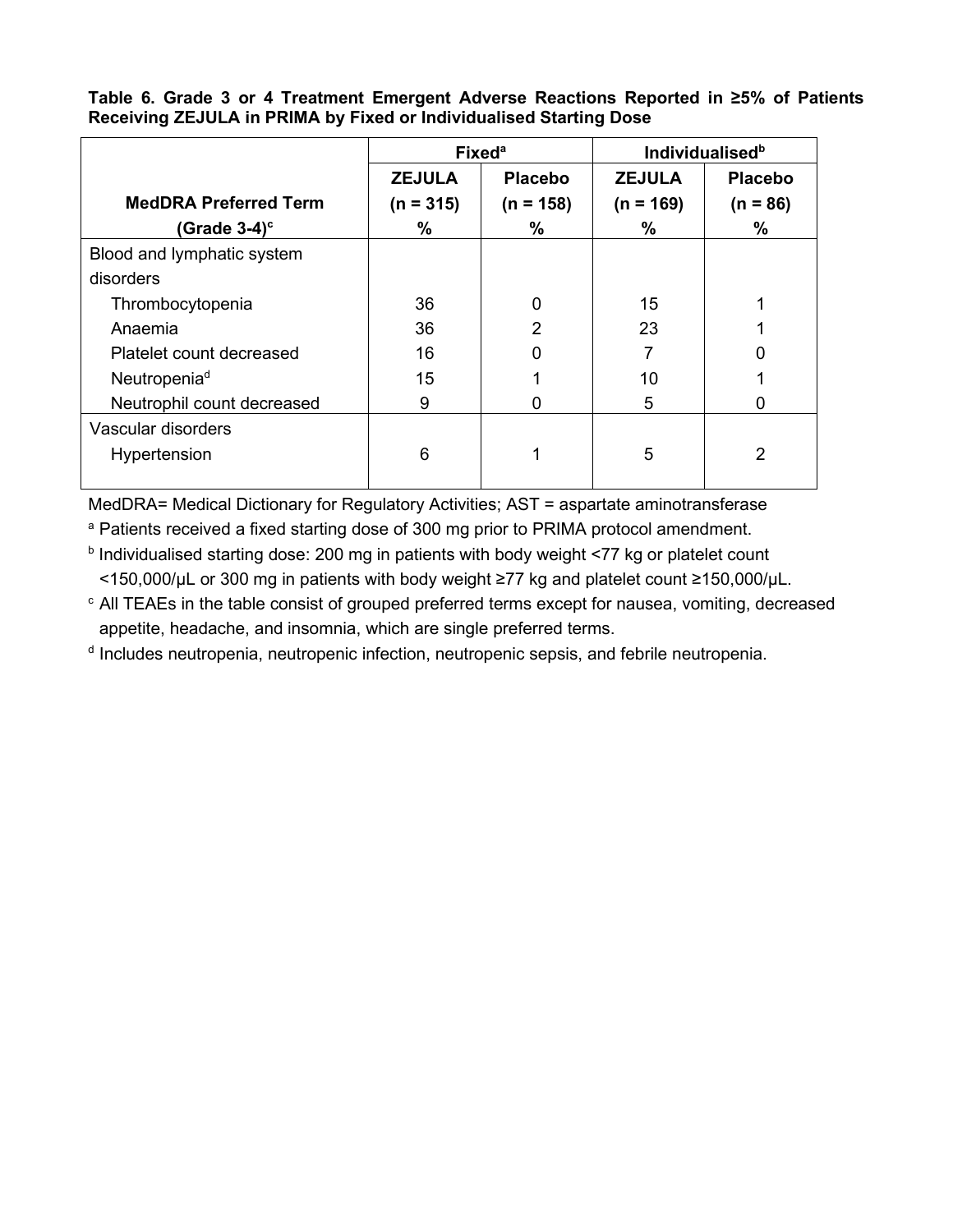|                              | Fixed <sup>a</sup> |                |               | <b>Individualised</b> <sup>b</sup> |
|------------------------------|--------------------|----------------|---------------|------------------------------------|
|                              | <b>ZEJULA</b>      | <b>Placebo</b> | <b>ZEJULA</b> | <b>Placebo</b>                     |
| <b>MedDRA Preferred Term</b> | $(n = 315)$        | $(n = 158)$    | $(n = 169)$   | $(n = 86)$                         |
| (Grade $3-4$ ) <sup>c</sup>  | %                  | ℅              | %             | %                                  |
| Blood and lymphatic system   |                    |                |               |                                    |
| disorders                    |                    |                |               |                                    |
| Thrombocytopenia             | 36                 | 0              | 15            |                                    |
| Anaemia                      | 36                 | 2              | 23            |                                    |
| Platelet count decreased     | 16                 | 0              |               | 0                                  |
| Neutropenia <sup>d</sup>     | 15                 |                | 10            |                                    |
| Neutrophil count decreased   | 9                  | 0              | 5             |                                    |
| Vascular disorders           |                    |                |               |                                    |
| Hypertension                 | 6                  |                | 5             | 2                                  |
|                              |                    |                |               |                                    |

**Table 6. Grade 3 or 4 Treatment Emergent Adverse Reactions Reported in ≥5% of Patients Receiving ZEJULA in PRIMA by Fixed or Individualised Starting Dose**

MedDRA= Medical Dictionary for Regulatory Activities; AST = aspartate aminotransferase

<sup>a</sup> Patients received a fixed starting dose of 300 mg prior to PRIMA protocol amendment.

**b** Individualised starting dose: 200 mg in patients with body weight <77 kg or platelet count <150,000/µL or 300 mg in patients with body weight ≥77 kg and platelet count ≥150,000/µL.

<sup>c</sup> All TEAEs in the table consist of grouped preferred terms except for nausea, vomiting, decreased appetite, headache, and insomnia, which are single preferred terms.

<sup>d</sup> Includes neutropenia, neutropenic infection, neutropenic sepsis, and febrile neutropenia.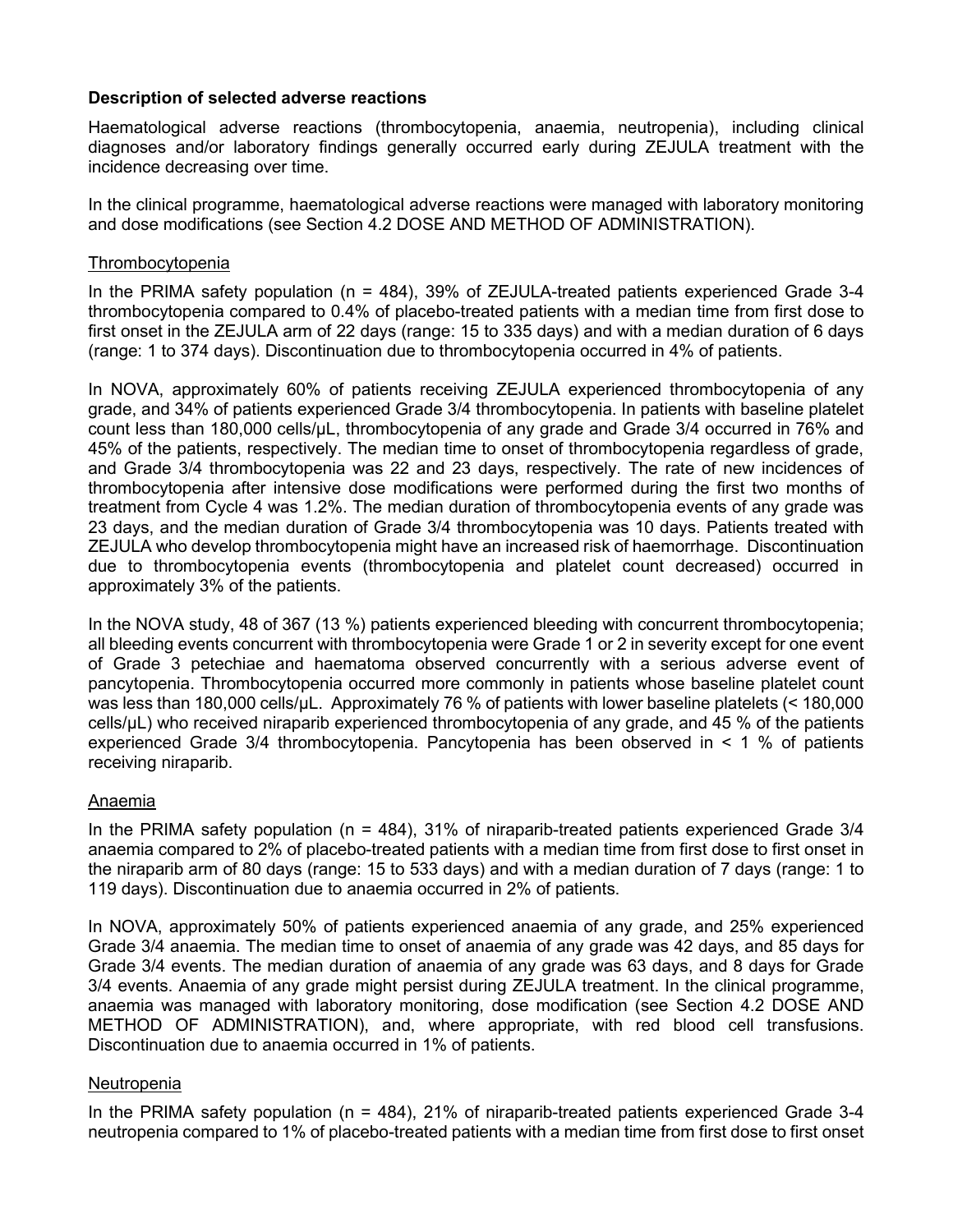## **Description of selected adverse reactions**

Haematological adverse reactions (thrombocytopenia, anaemia, neutropenia), including clinical diagnoses and/or laboratory findings generally occurred early during ZEJULA treatment with the incidence decreasing over time.

In the clinical programme, haematological adverse reactions were managed with laboratory monitoring and dose modifications (see Section 4.2 DOSE AND METHOD OF ADMINISTRATION).

#### Thrombocytopenia

In the PRIMA safety population (n = 484), 39% of ZEJULA-treated patients experienced Grade 3-4 thrombocytopenia compared to 0.4% of placebo-treated patients with a median time from first dose to first onset in the ZEJULA arm of 22 days (range: 15 to 335 days) and with a median duration of 6 days (range: 1 to 374 days). Discontinuation due to thrombocytopenia occurred in 4% of patients.

In NOVA, approximately 60% of patients receiving ZEJULA experienced thrombocytopenia of any grade, and 34% of patients experienced Grade 3/4 thrombocytopenia. In patients with baseline platelet count less than 180,000 cells/µL, thrombocytopenia of any grade and Grade 3/4 occurred in 76% and 45% of the patients, respectively. The median time to onset of thrombocytopenia regardless of grade, and Grade 3/4 thrombocytopenia was 22 and 23 days, respectively. The rate of new incidences of thrombocytopenia after intensive dose modifications were performed during the first two months of treatment from Cycle 4 was 1.2%. The median duration of thrombocytopenia events of any grade was 23 days, and the median duration of Grade 3/4 thrombocytopenia was 10 days. Patients treated with ZEJULA who develop thrombocytopenia might have an increased risk of haemorrhage. Discontinuation due to thrombocytopenia events (thrombocytopenia and platelet count decreased) occurred in approximately 3% of the patients.

In the NOVA study, 48 of 367 (13 %) patients experienced bleeding with concurrent thrombocytopenia; all bleeding events concurrent with thrombocytopenia were Grade 1 or 2 in severity except for one event of Grade 3 petechiae and haematoma observed concurrently with a serious adverse event of pancytopenia. Thrombocytopenia occurred more commonly in patients whose baseline platelet count was less than 180,000 cells/µL. Approximately 76 % of patients with lower baseline platelets (< 180,000 cells/µL) who received niraparib experienced thrombocytopenia of any grade, and 45 % of the patients experienced Grade 3/4 thrombocytopenia. Pancytopenia has been observed in < 1 % of patients receiving niraparib.

## Anaemia

In the PRIMA safety population (n = 484), 31% of niraparib-treated patients experienced Grade 3/4 anaemia compared to 2% of placebo-treated patients with a median time from first dose to first onset in the niraparib arm of 80 days (range: 15 to 533 days) and with a median duration of 7 days (range: 1 to 119 days). Discontinuation due to anaemia occurred in 2% of patients.

In NOVA, approximately 50% of patients experienced anaemia of any grade, and 25% experienced Grade 3/4 anaemia. The median time to onset of anaemia of any grade was 42 days, and 85 days for Grade 3/4 events. The median duration of anaemia of any grade was 63 days, and 8 days for Grade 3/4 events. Anaemia of any grade might persist during ZEJULA treatment. In the clinical programme, anaemia was managed with laboratory monitoring, dose modification (see Section 4.2 DOSE AND METHOD OF ADMINISTRATION), and, where appropriate, with red blood cell transfusions. Discontinuation due to anaemia occurred in 1% of patients.

#### Neutropenia

In the PRIMA safety population ( $n = 484$ ), 21% of niraparib-treated patients experienced Grade 3-4 neutropenia compared to 1% of placebo-treated patients with a median time from first dose to first onset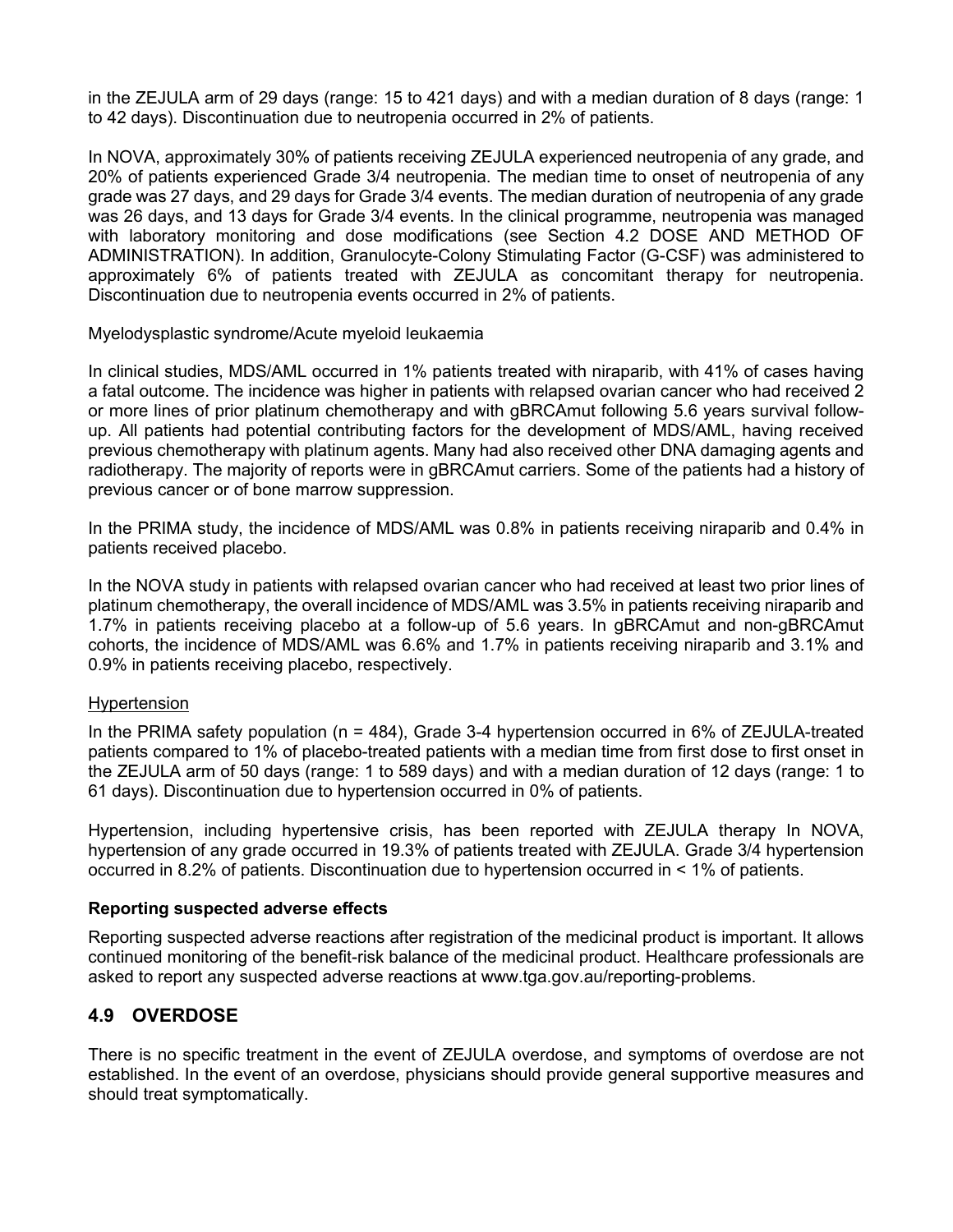in the ZEJULA arm of 29 days (range: 15 to 421 days) and with a median duration of 8 days (range: 1 to 42 days). Discontinuation due to neutropenia occurred in 2% of patients.

In NOVA, approximately 30% of patients receiving ZEJULA experienced neutropenia of any grade, and 20% of patients experienced Grade 3/4 neutropenia. The median time to onset of neutropenia of any grade was 27 days, and 29 days for Grade 3/4 events. The median duration of neutropenia of any grade was 26 days, and 13 days for Grade 3/4 events. In the clinical programme, neutropenia was managed with laboratory monitoring and dose modifications (see Section 4.2 DOSE AND METHOD OF ADMINISTRATION). In addition, Granulocyte-Colony Stimulating Factor (G-CSF) was administered to approximately 6% of patients treated with ZEJULA as concomitant therapy for neutropenia. Discontinuation due to neutropenia events occurred in 2% of patients.

Myelodysplastic syndrome/Acute myeloid leukaemia

In clinical studies, MDS/AML occurred in 1% patients treated with niraparib, with 41% of cases having a fatal outcome. The incidence was higher in patients with relapsed ovarian cancer who had received 2 or more lines of prior platinum chemotherapy and with gBRCAmut following 5.6 years survival followup. All patients had potential contributing factors for the development of MDS/AML, having received previous chemotherapy with platinum agents. Many had also received other DNA damaging agents and radiotherapy. The majority of reports were in gBRCAmut carriers. Some of the patients had a history of previous cancer or of bone marrow suppression.

In the PRIMA study, the incidence of MDS/AML was 0.8% in patients receiving niraparib and 0.4% in patients received placebo.

In the NOVA study in patients with relapsed ovarian cancer who had received at least two prior lines of platinum chemotherapy, the overall incidence of MDS/AML was 3.5% in patients receiving niraparib and 1.7% in patients receiving placebo at a follow-up of 5.6 years. In gBRCAmut and non-gBRCAmut cohorts, the incidence of MDS/AML was 6.6% and 1.7% in patients receiving niraparib and 3.1% and 0.9% in patients receiving placebo, respectively.

#### Hypertension

In the PRIMA safety population (n = 484), Grade 3-4 hypertension occurred in 6% of ZEJULA-treated patients compared to 1% of placebo-treated patients with a median time from first dose to first onset in the ZEJULA arm of 50 days (range: 1 to 589 days) and with a median duration of 12 days (range: 1 to 61 days). Discontinuation due to hypertension occurred in 0% of patients.

Hypertension, including hypertensive crisis, has been reported with ZEJULA therapy In NOVA, hypertension of any grade occurred in 19.3% of patients treated with ZEJULA. Grade 3/4 hypertension occurred in 8.2% of patients. Discontinuation due to hypertension occurred in < 1% of patients.

#### **Reporting suspected adverse effects**

Reporting suspected adverse reactions after registration of the medicinal product is important. It allows continued monitoring of the benefit-risk balance of the medicinal product. Healthcare professionals are asked to report any suspected adverse reactions at www.tga.gov.au/reporting-problems.

## **4.9 OVERDOSE**

There is no specific treatment in the event of ZEJULA overdose, and symptoms of overdose are not established. In the event of an overdose, physicians should provide general supportive measures and should treat symptomatically.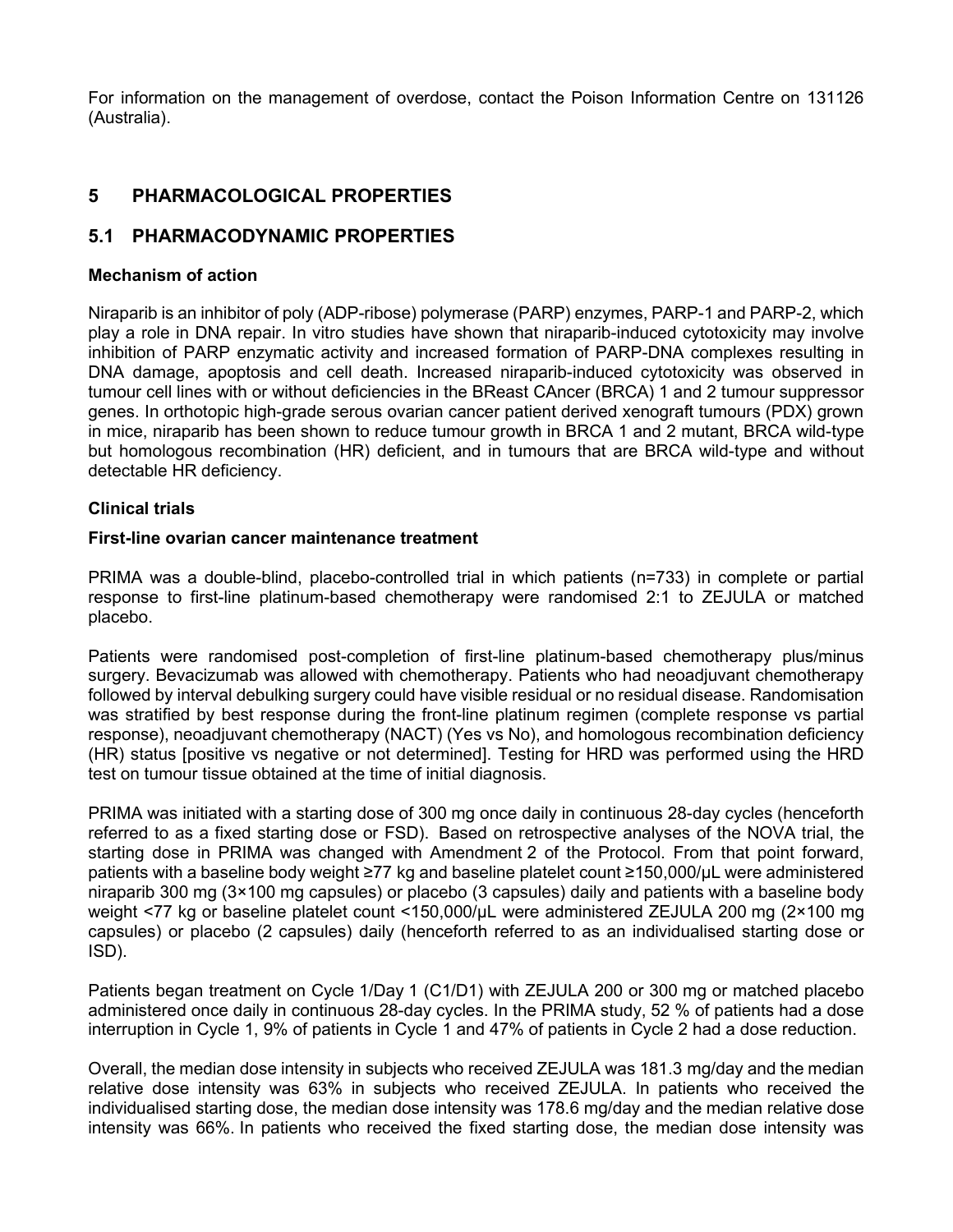For information on the management of overdose, contact the Poison Information Centre on 131126 (Australia).

## **5 PHARMACOLOGICAL PROPERTIES**

## **5.1 PHARMACODYNAMIC PROPERTIES**

#### **Mechanism of action**

Niraparib is an inhibitor of poly (ADP-ribose) polymerase (PARP) enzymes, PARP-1 and PARP-2, which play a role in DNA repair. In vitro studies have shown that niraparib-induced cytotoxicity may involve inhibition of PARP enzymatic activity and increased formation of PARP-DNA complexes resulting in DNA damage, apoptosis and cell death. Increased niraparib-induced cytotoxicity was observed in tumour cell lines with or without deficiencies in the BReast CAncer (BRCA) 1 and 2 tumour suppressor genes. In orthotopic high-grade serous ovarian cancer patient derived xenograft tumours (PDX) grown in mice, niraparib has been shown to reduce tumour growth in BRCA 1 and 2 mutant, BRCA wild-type but homologous recombination (HR) deficient, and in tumours that are BRCA wild-type and without detectable HR deficiency.

#### **Clinical trials**

#### **First-line ovarian cancer maintenance treatment**

PRIMA was a double-blind, placebo-controlled trial in which patients (n=733) in complete or partial response to first-line platinum-based chemotherapy were randomised 2:1 to ZEJULA or matched placebo.

Patients were randomised post-completion of first-line platinum-based chemotherapy plus/minus surgery. Bevacizumab was allowed with chemotherapy. Patients who had neoadjuvant chemotherapy followed by interval debulking surgery could have visible residual or no residual disease. Randomisation was stratified by best response during the front-line platinum regimen (complete response vs partial response), neoadjuvant chemotherapy (NACT) (Yes vs No), and homologous recombination deficiency (HR) status [positive vs negative or not determined]. Testing for HRD was performed using the HRD test on tumour tissue obtained at the time of initial diagnosis.

PRIMA was initiated with a starting dose of 300 mg once daily in continuous 28-day cycles (henceforth referred to as a fixed starting dose or FSD). Based on retrospective analyses of the NOVA trial, the starting dose in PRIMA was changed with Amendment 2 of the Protocol. From that point forward, patients with a baseline body weight ≥77 kg and baseline platelet count ≥150,000/µL were administered niraparib 300 mg (3×100 mg capsules) or placebo (3 capsules) daily and patients with a baseline body weight <77 kg or baseline platelet count <150,000/μL were administered ZEJULA 200 mg (2×100 mg capsules) or placebo (2 capsules) daily (henceforth referred to as an individualised starting dose or ISD).

Patients began treatment on Cycle 1/Day 1 (C1/D1) with ZEJULA 200 or 300 mg or matched placebo administered once daily in continuous 28-day cycles. In the PRIMA study, 52 % of patients had a dose interruption in Cycle 1, 9% of patients in Cycle 1 and 47% of patients in Cycle 2 had a dose reduction.

Overall, the median dose intensity in subjects who received ZEJULA was 181.3 mg/day and the median relative dose intensity was 63% in subjects who received ZEJULA. In patients who received the individualised starting dose, the median dose intensity was 178.6 mg/day and the median relative dose intensity was 66%. In patients who received the fixed starting dose, the median dose intensity was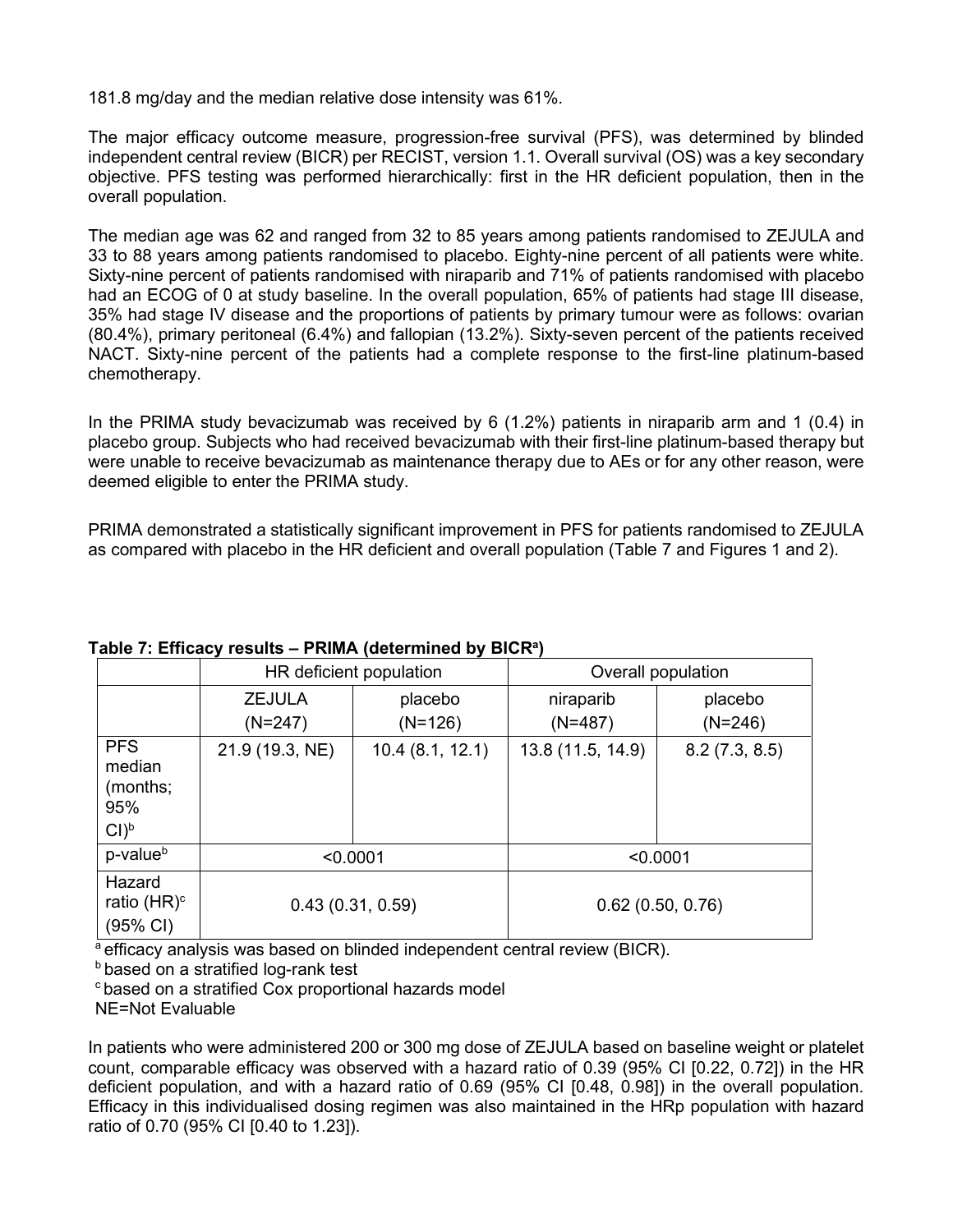181.8 mg/day and the median relative dose intensity was 61%.

The major efficacy outcome measure, progression-free survival (PFS), was determined by blinded independent central review (BICR) per RECIST, version 1.1. Overall survival (OS) was a key secondary objective. PFS testing was performed hierarchically: first in the HR deficient population, then in the overall population.

The median age was 62 and ranged from 32 to 85 years among patients randomised to ZEJULA and 33 to 88 years among patients randomised to placebo. Eighty-nine percent of all patients were white. Sixty-nine percent of patients randomised with niraparib and 71% of patients randomised with placebo had an ECOG of 0 at study baseline. In the overall population, 65% of patients had stage III disease, 35% had stage IV disease and the proportions of patients by primary tumour were as follows: ovarian (80.4%), primary peritoneal (6.4%) and fallopian (13.2%). Sixty-seven percent of the patients received NACT. Sixty-nine percent of the patients had a complete response to the first-line platinum-based chemotherapy.

In the PRIMA study bevacizumab was received by 6 (1.2%) patients in niraparib arm and 1 (0.4) in placebo group. Subjects who had received bevacizumab with their first-line platinum-based therapy but were unable to receive bevacizumab as maintenance therapy due to AEs or for any other reason, were deemed eligible to enter the PRIMA study.

PRIMA demonstrated a statistically significant improvement in PFS for patients randomised to ZEJULA as compared with placebo in the HR deficient and overall population (Table 7 and Figures 1 and 2).

|                                                              | HR deficient population    |                      | Overall population     |                      |
|--------------------------------------------------------------|----------------------------|----------------------|------------------------|----------------------|
|                                                              | <b>ZEJULA</b><br>$(N=247)$ | placebo<br>$(N=126)$ | niraparib<br>$(N=487)$ | placebo<br>$(N=246)$ |
| <b>PFS</b><br>median<br>(months;<br>95%<br>$Cl$ <sup>b</sup> | 21.9 (19.3, NE)            | 10.4(8.1, 12.1)      | 13.8 (11.5, 14.9)      | 8.2(7.3, 8.5)        |
| p-value <sup>b</sup>                                         |                            | < 0.0001             | < 0.0001               |                      |
| Hazard<br>ratio $(HR)^c$<br>(95% CI)                         | 0.43(0.31, 0.59)           |                      |                        | 0.62(0.50, 0.76)     |

## **Table 7: Efficacy results – PRIMA (determined by BICRa )**

a efficacy analysis was based on blinded independent central review (BICR).

**b** based on a stratified log-rank test

c based on a stratified Cox proportional hazards model

NE=Not Evaluable

In patients who were administered 200 or 300 mg dose of ZEJULA based on baseline weight or platelet count, comparable efficacy was observed with a hazard ratio of 0.39 (95% CI [0.22, 0.72]) in the HR deficient population, and with a hazard ratio of 0.69 (95% CI [0.48, 0.98]) in the overall population. Efficacy in this individualised dosing regimen was also maintained in the HRp population with hazard ratio of 0.70 (95% CI [0.40 to 1.23]).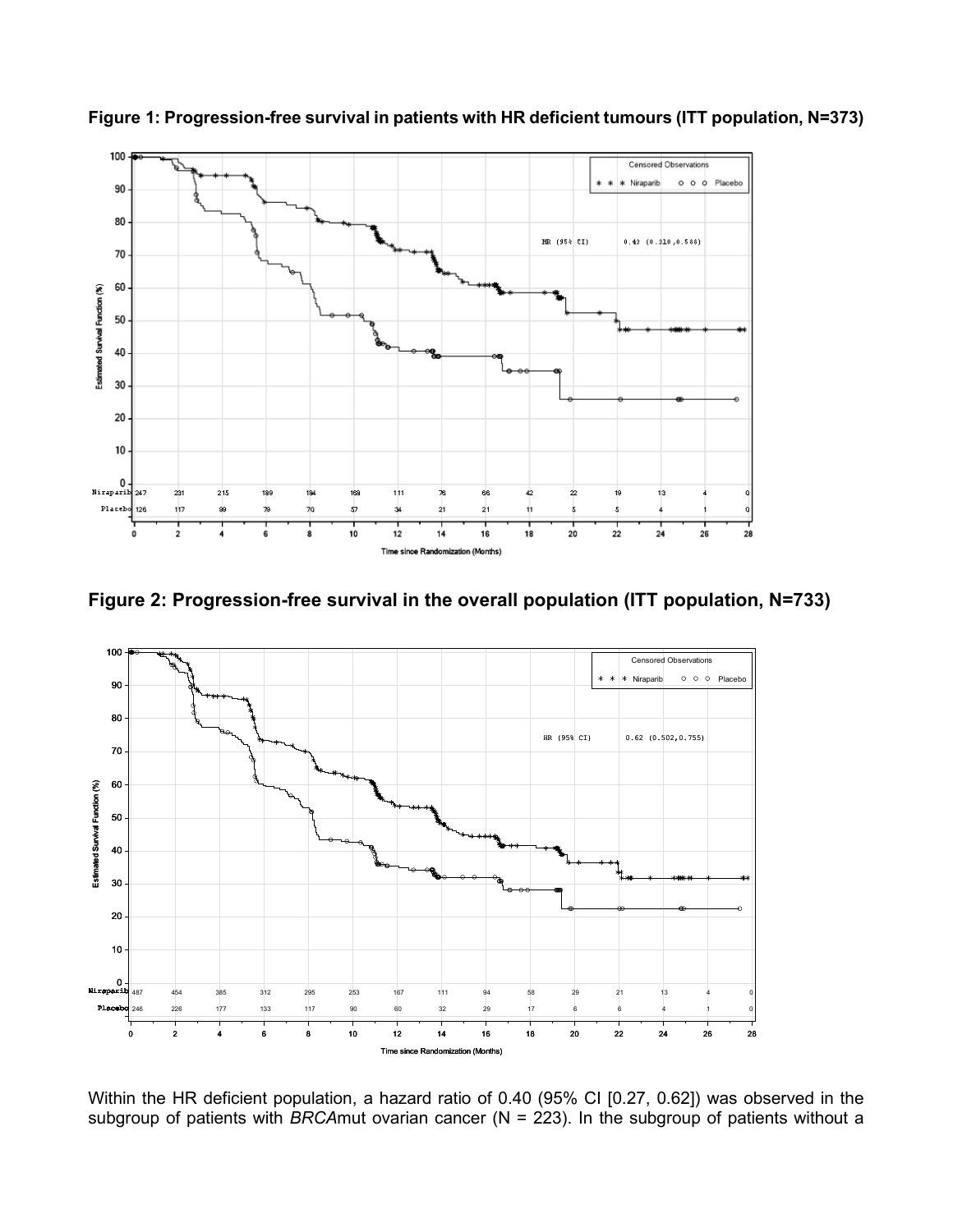

**Figure 1: Progression-free survival in patients with HR deficient tumours (ITT population, N=373)**





Within the HR deficient population, a hazard ratio of 0.40 (95% CI [0.27, 0.62]) was observed in the subgroup of patients with *BRCA*mut ovarian cancer (N = 223). In the subgroup of patients without a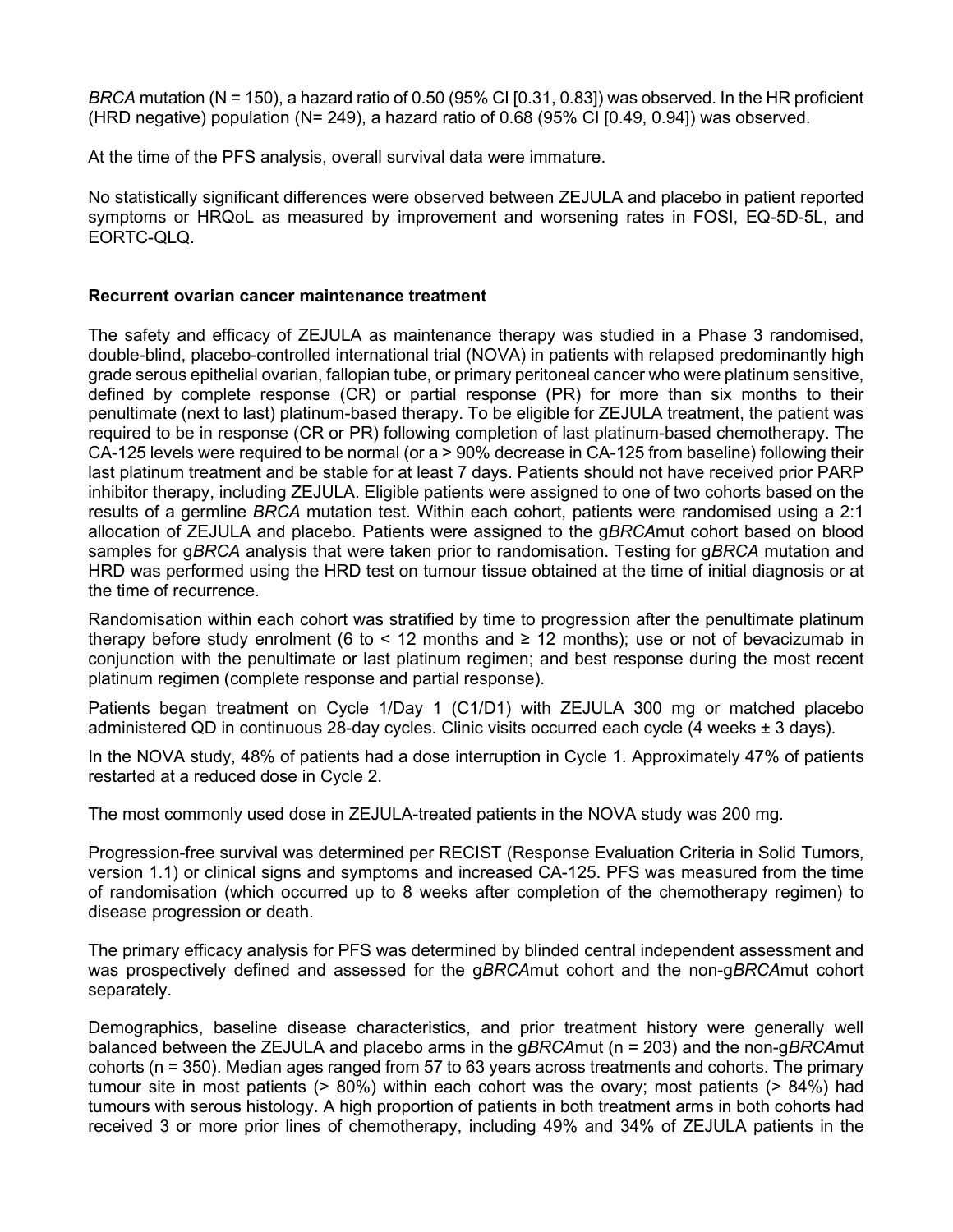*BRCA* mutation (N = 150), a hazard ratio of 0.50 (95% CI [0.31, 0.83]) was observed. In the HR proficient (HRD negative) population (N= 249), a hazard ratio of 0.68 (95% CI [0.49, 0.94]) was observed.

At the time of the PFS analysis, overall survival data were immature.

No statistically significant differences were observed between ZEJULA and placebo in patient reported symptoms or HRQoL as measured by improvement and worsening rates in FOSI, EQ-5D-5L, and EORTC-QLQ.

### **Recurrent ovarian cancer maintenance treatment**

The safety and efficacy of ZEJULA as maintenance therapy was studied in a Phase 3 randomised, double-blind, placebo-controlled international trial (NOVA) in patients with relapsed predominantly high grade serous epithelial ovarian, fallopian tube, or primary peritoneal cancer who were platinum sensitive, defined by complete response (CR) or partial response (PR) for more than six months to their penultimate (next to last) platinum-based therapy. To be eligible for ZEJULA treatment, the patient was required to be in response (CR or PR) following completion of last platinum-based chemotherapy. The CA-125 levels were required to be normal (or a > 90% decrease in CA-125 from baseline) following their last platinum treatment and be stable for at least 7 days. Patients should not have received prior PARP inhibitor therapy, including ZEJULA. Eligible patients were assigned to one of two cohorts based on the results of a germline *BRCA* mutation test. Within each cohort, patients were randomised using a 2:1 allocation of ZEJULA and placebo. Patients were assigned to the g*BRCA*mut cohort based on blood samples for g*BRCA* analysis that were taken prior to randomisation. Testing for g*BRCA* mutation and HRD was performed using the HRD test on tumour tissue obtained at the time of initial diagnosis or at the time of recurrence.

Randomisation within each cohort was stratified by time to progression after the penultimate platinum therapy before study enrolment (6 to  $\leq$  12 months and  $\geq$  12 months); use or not of bevacizumab in conjunction with the penultimate or last platinum regimen; and best response during the most recent platinum regimen (complete response and partial response).

Patients began treatment on Cycle 1/Day 1 (C1/D1) with ZEJULA 300 mg or matched placebo administered QD in continuous 28-day cycles. Clinic visits occurred each cycle (4 weeks  $\pm$  3 days).

In the NOVA study, 48% of patients had a dose interruption in Cycle 1. Approximately 47% of patients restarted at a reduced dose in Cycle 2.

The most commonly used dose in ZEJULA-treated patients in the NOVA study was 200 mg.

Progression-free survival was determined per RECIST (Response Evaluation Criteria in Solid Tumors, version 1.1) or clinical signs and symptoms and increased CA-125. PFS was measured from the time of randomisation (which occurred up to 8 weeks after completion of the chemotherapy regimen) to disease progression or death.

The primary efficacy analysis for PFS was determined by blinded central independent assessment and was prospectively defined and assessed for the g*BRCA*mut cohort and the non-g*BRCA*mut cohort separately.

Demographics, baseline disease characteristics, and prior treatment history were generally well balanced between the ZEJULA and placebo arms in the g*BRCA*mut (n = 203) and the non-g*BRCA*mut cohorts (n = 350). Median ages ranged from 57 to 63 years across treatments and cohorts. The primary tumour site in most patients (> 80%) within each cohort was the ovary; most patients (> 84%) had tumours with serous histology. A high proportion of patients in both treatment arms in both cohorts had received 3 or more prior lines of chemotherapy, including 49% and 34% of ZEJULA patients in the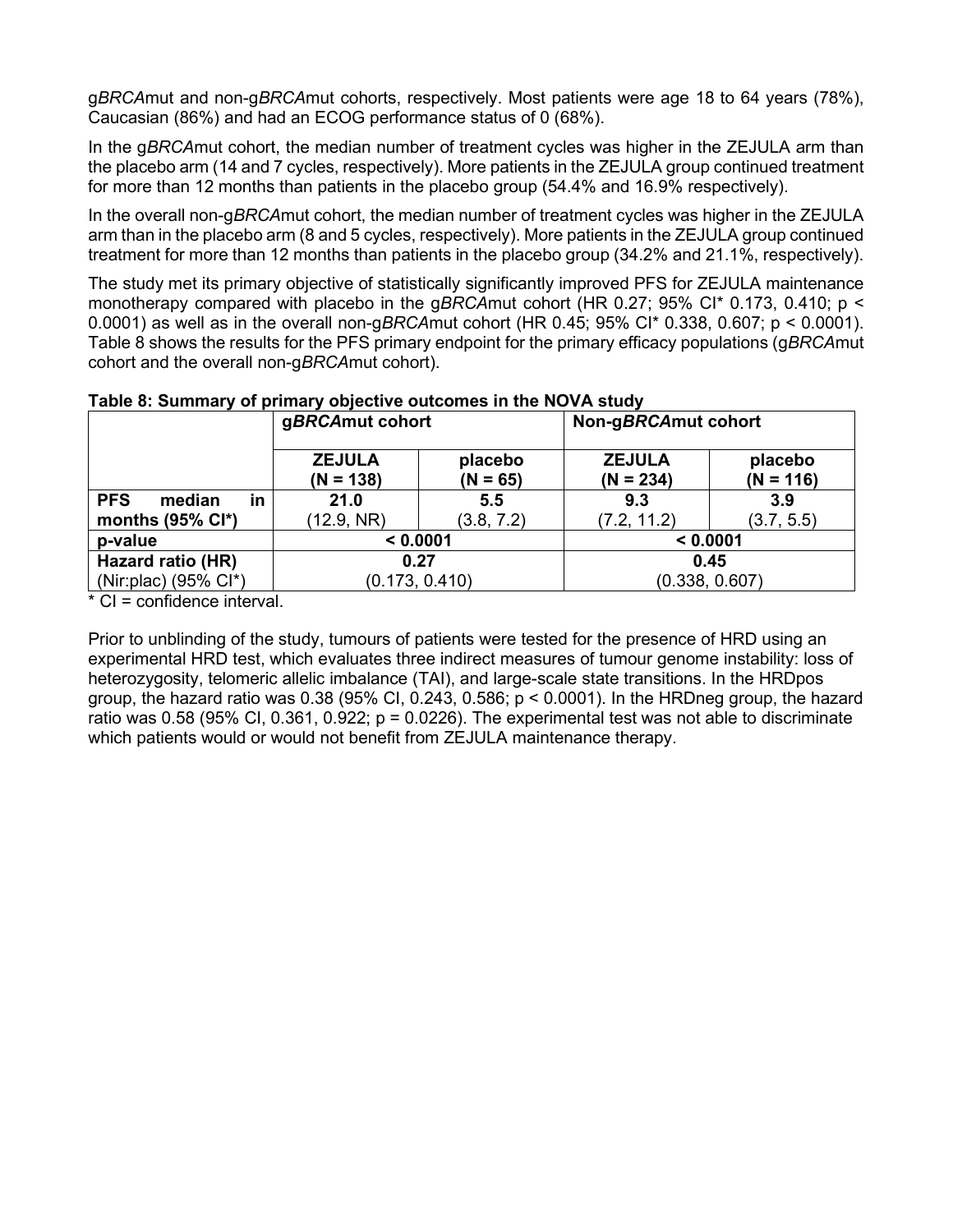g*BRCA*mut and non-g*BRCA*mut cohorts, respectively. Most patients were age 18 to 64 years (78%), Caucasian (86%) and had an ECOG performance status of 0 (68%).

In the g*BRCA*mut cohort, the median number of treatment cycles was higher in the ZEJULA arm than the placebo arm (14 and 7 cycles, respectively). More patients in the ZEJULA group continued treatment for more than 12 months than patients in the placebo group (54.4% and 16.9% respectively).

In the overall non-g*BRCA*mut cohort, the median number of treatment cycles was higher in the ZEJULA arm than in the placebo arm (8 and 5 cycles, respectively). More patients in the ZEJULA group continued treatment for more than 12 months than patients in the placebo group (34.2% and 21.1%, respectively).

The study met its primary objective of statistically significantly improved PFS for ZEJULA maintenance monotherapy compared with placebo in the g*BRCA*mut cohort (HR 0.27; 95% CI\* 0.173, 0.410; p < 0.0001) as well as in the overall non-g*BRCA*mut cohort (HR 0.45; 95% CI\* 0.338, 0.607; p < 0.0001). Table 8 shows the results for the PFS primary endpoint for the primary efficacy populations (g*BRCA*mut cohort and the overall non-g*BRCA*mut cohort).

|                                   | gBRCAmut cohort              |                       | Non-gBRCAmut cohort          |                        |  |
|-----------------------------------|------------------------------|-----------------------|------------------------------|------------------------|--|
|                                   | <b>ZEJULA</b><br>$(N = 138)$ | placebo<br>$(N = 65)$ | <b>ZEJULA</b><br>$(N = 234)$ | placebo<br>$(N = 116)$ |  |
| <b>PFS</b><br><b>in</b><br>median | 21.0                         | 5.5                   | 9.3                          | 3.9                    |  |
| months $(95\% \text{ Cl}^*)$      | (12.9, NR)                   | (3.8, 7.2)            | (7.2, 11.2)                  | (3.7, 5.5)             |  |
| p-value                           | < 0.0001                     |                       | < 0.0001                     |                        |  |
| Hazard ratio (HR)                 | 0.27                         |                       | 0.45                         |                        |  |
| (Nir:plac) $(95\% \text{ Cl}^*)$  | (0.173, 0.410)               |                       | (0.338, 0.607)               |                        |  |

#### **Table 8: Summary of primary objective outcomes in the NOVA study**

\* CI = confidence interval.

Prior to unblinding of the study, tumours of patients were tested for the presence of HRD using an experimental HRD test, which evaluates three indirect measures of tumour genome instability: loss of heterozygosity, telomeric allelic imbalance (TAI), and large-scale state transitions. In the HRDpos group, the hazard ratio was  $0.38$  (95% CI, 0.243, 0.586;  $p < 0.0001$ ). In the HRDneg group, the hazard ratio was 0.58 (95% CI, 0.361, 0.922;  $p = 0.0226$ ). The experimental test was not able to discriminate which patients would or would not benefit from ZEJULA maintenance therapy.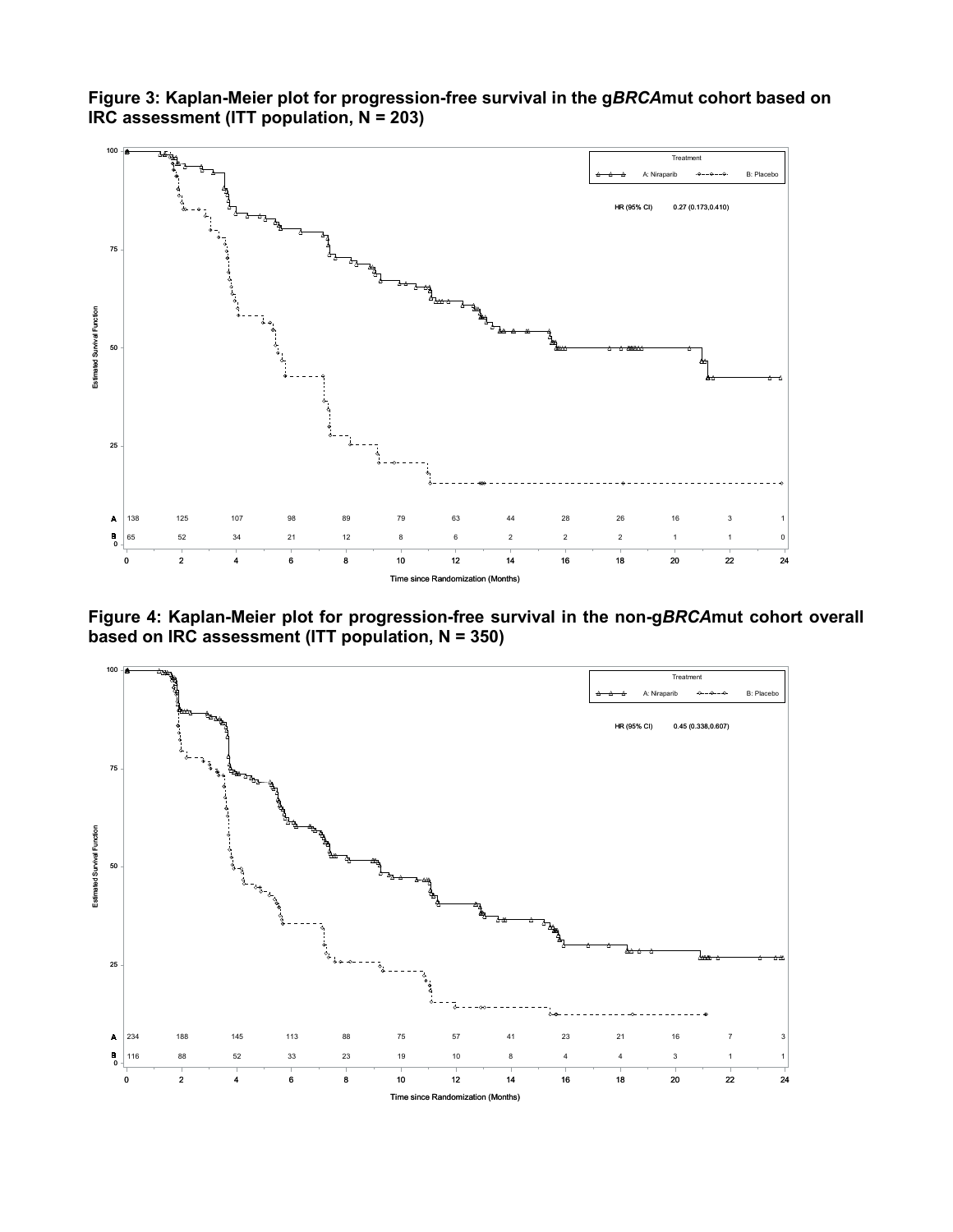

**Figure 3: Kaplan-Meier plot for progression-free survival in the g***BRCA***mut cohort based on IRC assessment (ITT population, N = 203)**

**Figure 4: Kaplan-Meier plot for progression-free survival in the non-g***BRCA***mut cohort overall based on IRC assessment (ITT population, N = 350)**

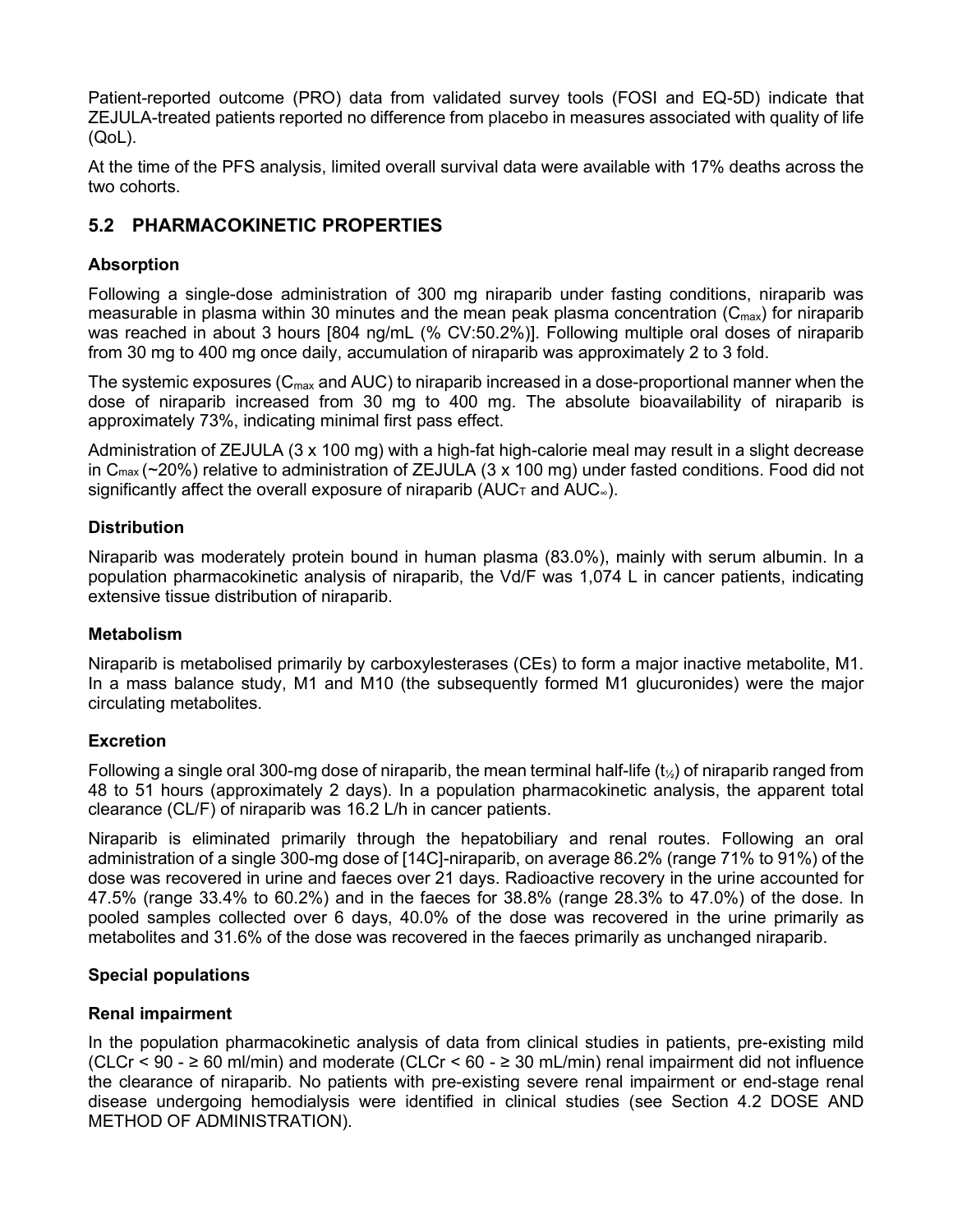Patient-reported outcome (PRO) data from validated survey tools (FOSI and EQ-5D) indicate that ZEJULA-treated patients reported no difference from placebo in measures associated with quality of life (QoL).

At the time of the PFS analysis, limited overall survival data were available with 17% deaths across the two cohorts.

## **5.2 PHARMACOKINETIC PROPERTIES**

## **Absorption**

Following a single-dose administration of 300 mg niraparib under fasting conditions, niraparib was measurable in plasma within 30 minutes and the mean peak plasma concentration  $(C_{\text{max}})$  for niraparib was reached in about 3 hours [804 ng/mL (% CV:50.2%)]. Following multiple oral doses of niraparib from 30 mg to 400 mg once daily, accumulation of niraparib was approximately 2 to 3 fold.

The systemic exposures ( $C<sub>max</sub>$  and AUC) to niraparib increased in a dose-proportional manner when the dose of niraparib increased from 30 mg to 400 mg. The absolute bioavailability of niraparib is approximately 73%, indicating minimal first pass effect.

Administration of ZEJULA (3 x 100 mg) with a high-fat high-calorie meal may result in a slight decrease in Cmax (~20%) relative to administration of ZEJULA (3 x 100 mg) under fasted conditions. Food did not significantly affect the overall exposure of niraparib ( $AUC$ <sub>T</sub> and  $AUC_{∞}$ ).

## **Distribution**

Niraparib was moderately protein bound in human plasma (83.0%), mainly with serum albumin. In a population pharmacokinetic analysis of niraparib, the Vd/F was 1,074 L in cancer patients, indicating extensive tissue distribution of niraparib.

## **Metabolism**

Niraparib is metabolised primarily by carboxylesterases (CEs) to form a major inactive metabolite, M1. In a mass balance study, M1 and M10 (the subsequently formed M1 glucuronides) were the major circulating metabolites.

## **Excretion**

Following a single oral 300-mg dose of niraparib, the mean terminal half-life  $(t_{\gamma})$  of niraparib ranged from 48 to 51 hours (approximately 2 days). In a population pharmacokinetic analysis, the apparent total clearance (CL/F) of niraparib was 16.2 L/h in cancer patients.

Niraparib is eliminated primarily through the hepatobiliary and renal routes. Following an oral administration of a single 300-mg dose of [14C]-niraparib, on average 86.2% (range 71% to 91%) of the dose was recovered in urine and faeces over 21 days. Radioactive recovery in the urine accounted for 47.5% (range 33.4% to 60.2%) and in the faeces for 38.8% (range 28.3% to 47.0%) of the dose. In pooled samples collected over 6 days, 40.0% of the dose was recovered in the urine primarily as metabolites and 31.6% of the dose was recovered in the faeces primarily as unchanged niraparib.

## **Special populations**

## **Renal impairment**

In the population pharmacokinetic analysis of data from clinical studies in patients, pre-existing mild (CLCr < 90 - ≥ 60 ml/min) and moderate (CLCr < 60 - ≥ 30 mL/min) renal impairment did not influence the clearance of niraparib. No patients with pre-existing severe renal impairment or end-stage renal disease undergoing hemodialysis were identified in clinical studies (see Section 4.2 DOSE AND METHOD OF ADMINISTRATION).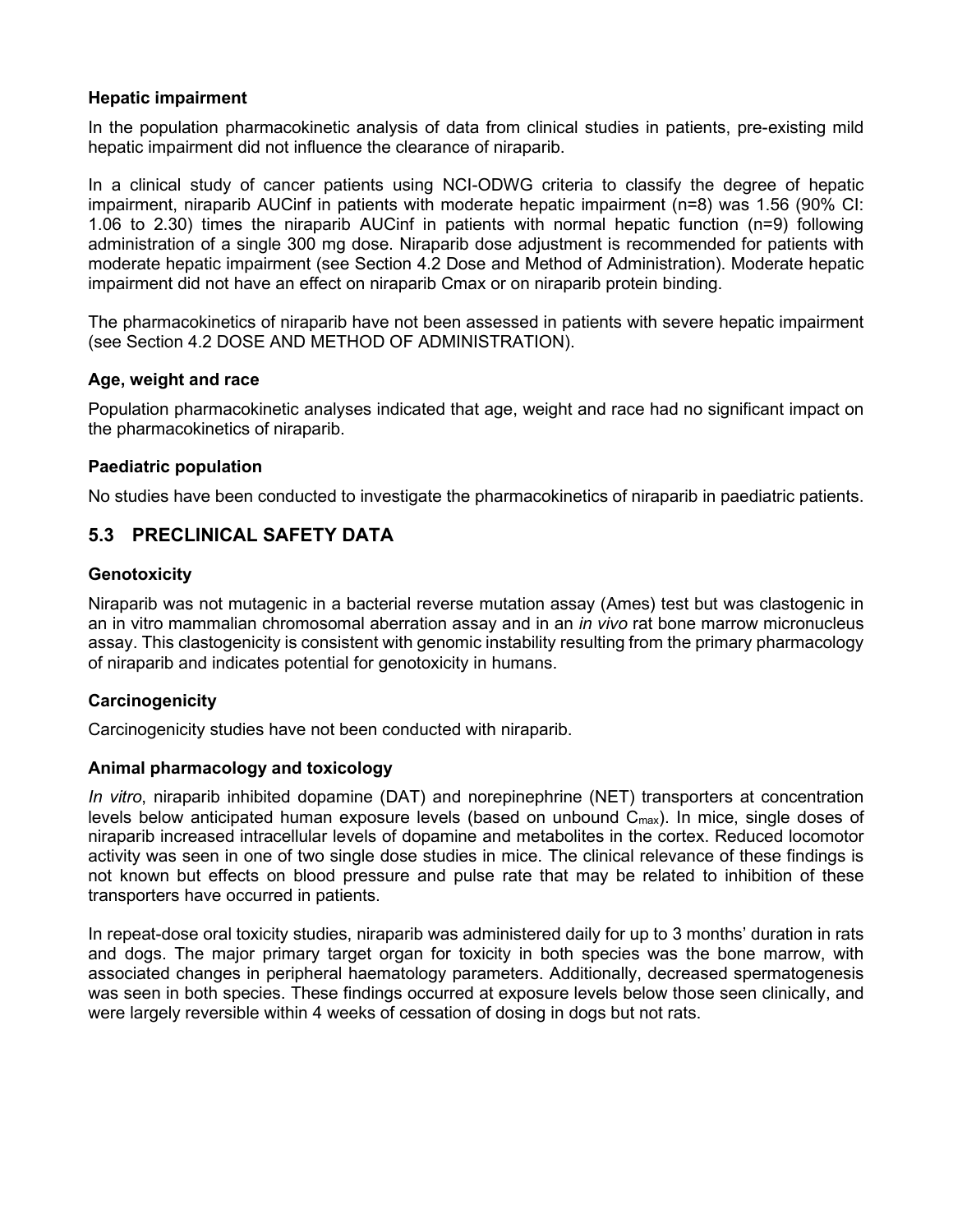### **Hepatic impairment**

In the population pharmacokinetic analysis of data from clinical studies in patients, pre-existing mild hepatic impairment did not influence the clearance of niraparib.

In a clinical study of cancer patients using NCI-ODWG criteria to classify the degree of hepatic impairment, niraparib AUCinf in patients with moderate hepatic impairment (n=8) was 1.56 (90% CI: 1.06 to 2.30) times the niraparib AUCinf in patients with normal hepatic function (n=9) following administration of a single 300 mg dose. Niraparib dose adjustment is recommended for patients with moderate hepatic impairment (see Section 4.2 Dose and Method of Administration). Moderate hepatic impairment did not have an effect on niraparib Cmax or on niraparib protein binding.

The pharmacokinetics of niraparib have not been assessed in patients with severe hepatic impairment (see Section 4.2 DOSE AND METHOD OF ADMINISTRATION).

#### **Age, weight and race**

Population pharmacokinetic analyses indicated that age, weight and race had no significant impact on the pharmacokinetics of niraparib.

#### **Paediatric population**

No studies have been conducted to investigate the pharmacokinetics of niraparib in paediatric patients.

## **5.3 PRECLINICAL SAFETY DATA**

#### **Genotoxicity**

Niraparib was not mutagenic in a bacterial reverse mutation assay (Ames) test but was clastogenic in an in vitro mammalian chromosomal aberration assay and in an *in vivo* rat bone marrow micronucleus assay. This clastogenicity is consistent with genomic instability resulting from the primary pharmacology of niraparib and indicates potential for genotoxicity in humans.

## **Carcinogenicity**

Carcinogenicity studies have not been conducted with niraparib.

#### **Animal pharmacology and toxicology**

*In vitro*, niraparib inhibited dopamine (DAT) and norepinephrine (NET) transporters at concentration levels below anticipated human exposure levels (based on unbound C<sub>max</sub>). In mice, single doses of niraparib increased intracellular levels of dopamine and metabolites in the cortex. Reduced locomotor activity was seen in one of two single dose studies in mice. The clinical relevance of these findings is not known but effects on blood pressure and pulse rate that may be related to inhibition of these transporters have occurred in patients.

In repeat-dose oral toxicity studies, niraparib was administered daily for up to 3 months' duration in rats and dogs. The major primary target organ for toxicity in both species was the bone marrow, with associated changes in peripheral haematology parameters. Additionally, decreased spermatogenesis was seen in both species. These findings occurred at exposure levels below those seen clinically, and were largely reversible within 4 weeks of cessation of dosing in dogs but not rats.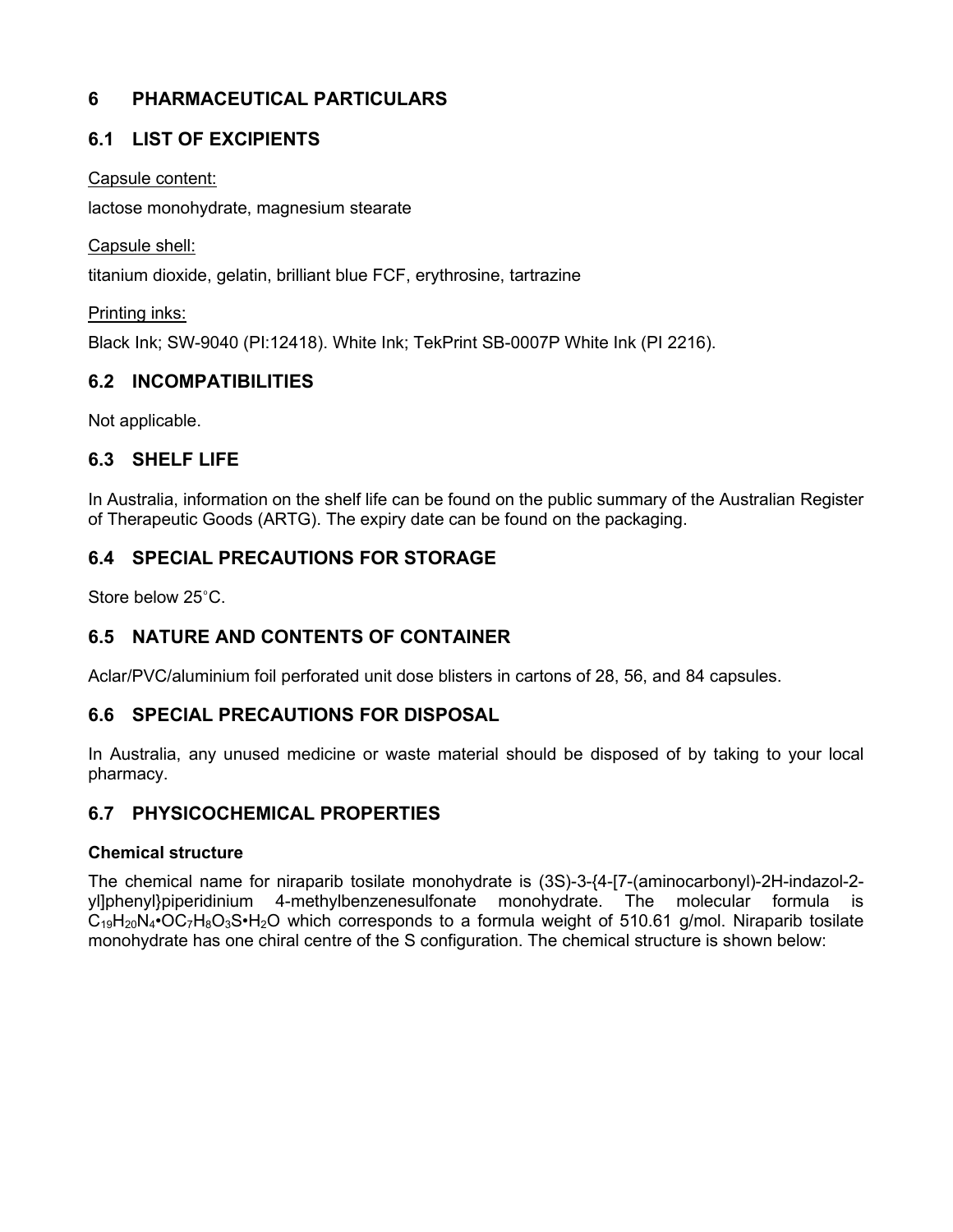## **6 PHARMACEUTICAL PARTICULARS**

## **6.1 LIST OF EXCIPIENTS**

## Capsule content:

lactose monohydrate, magnesium stearate

Capsule shell:

titanium dioxide, gelatin, brilliant blue FCF, erythrosine, tartrazine

## Printing inks:

Black Ink; SW-9040 (PI:12418). White Ink; TekPrint SB-0007P White Ink (PI 2216).

## **6.2 INCOMPATIBILITIES**

Not applicable.

## **6.3 SHELF LIFE**

In Australia, information on the shelf life can be found on the public summary of the Australian Register of Therapeutic Goods (ARTG). The expiry date can be found on the packaging.

## **6.4 SPECIAL PRECAUTIONS FOR STORAGE**

Store below 25°C.

## **6.5 NATURE AND CONTENTS OF CONTAINER**

Aclar/PVC/aluminium foil perforated unit dose blisters in cartons of 28, 56, and 84 capsules.

## **6.6 SPECIAL PRECAUTIONS FOR DISPOSAL**

In Australia, any unused medicine or waste material should be disposed of by taking to your local pharmacy.

## **6.7 PHYSICOCHEMICAL PROPERTIES**

## **Chemical structure**

The chemical name for niraparib tosilate monohydrate is (3S)-3-{4-[7-(aminocarbonyl)-2H-indazol-2 yl]phenyl}piperidinium 4-methylbenzenesulfonate monohydrate. The molecular formula is  $C_{19}H_{20}N_4$ •OC<sub>7</sub>H<sub>8</sub>O<sub>3</sub>S•H<sub>2</sub>O which corresponds to a formula weight of 510.61 g/mol. Niraparib tosilate monohydrate has one chiral centre of the S configuration. The chemical structure is shown below: